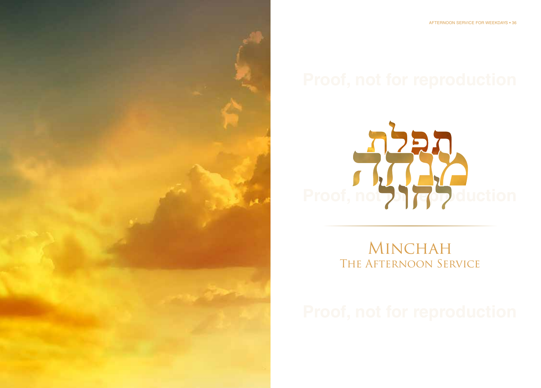



**MINCHAH** THE AFTERNOON SERVICE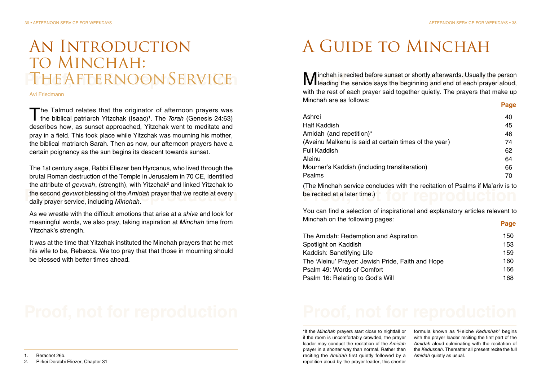# AN INTRODUCTION TO MINCHAH: THE AFTERNOON SERVICE

## Avi Friedmann

The Talmud relates that the originator of afternoon prayers was<br>the biblical patriarch Yitzchak (Isaac)<sup>1</sup>. The *Torah* (Genesis 24:63) describes how, as sunset approached. Yitzchak went to meditate and pray in a field. This took place while Yitzchak was mourning his mother, the biblical matriarch Sarah. Then as now, our afternoon prayers have a certain poignancy as the sun begins its descent towards sunset.

**rife second** *gevurot* blessing of the Amidah prayer that we recite at every **that we that we that every second for the of a second for the of the of the of the of the of the of the of the of the of the of the of the of t** The 1st century sage, Rabbi Eliezer ben Hyrcanus, who lived through the brutal Roman destruction of the Temple in Jerusalem in 70 CE, identified the attribute of *gevurah*, (strength), with Yitzchak<sup>2</sup> and linked Yitzchak to daily prayer service, including Minchah.

As we wrestle with the difficult emotions that arise at a *shiva* and look for meaningful words, we also pray, taking inspiration at Minchah time from Yitzchak's strength.

It was at the time that Yitzchak instituted the Minchah prayers that he met his wife to be. Rebecca. We too pray that that those in mourning should be blessed with better times ahead.

\*If the Minchah prayers start close to nightfall or if the room is uncomfortably crowded, the prayer leader may conduct the recitation of the Amidah prayer in a shorter way than normal. Rather than 1. Berachot 26b. **Amidah** quietly as usual as quietly as usual as quietly followed by a *Amidah* quietly as usual repetition aloud by the prayer leader, this shorter

formula known as 'Heiche Kedushah' begins with the prayer leader reciting the first part of the Amidah aloud culminating with the recitation of the *Kedushah*. Thereafter all present recite the full

|  | Berachot 26b. |
|--|---------------|
|--|---------------|

2. Pirkei Derabbi Eliezer, Chapter 31

# A GUIDE TO MINCHAH

**THEAFTERNOON SERVICE** Minchah is recited before sunset or shortly afterwards. Usually the person Net aloud, with the rest of each prayer said together quietly. The prayers that make up Minchah are as follows: **Page**

| Ashrei                                                | 40 |
|-------------------------------------------------------|----|
| Half Kaddish                                          | 45 |
| Amidah (and repetition)*                              | 46 |
| (Aveinu Malkenu is said at certain times of the year) | 74 |
| Full Kaddish                                          | 62 |
| Aleinu                                                | 64 |
| Mourner's Kaddish (including transliteration)         | 66 |
| Psalms                                                | 70 |
|                                                       |    |

(The Minchah service concludes with the recitation of Psalms if Ma'ariv is to be recited at a later time.)

You can find a selection of inspirational and explanatory articles relevant to Minchah on the following pages: **Page**

| The Amidah: Redemption and Aspiration             | 150 |
|---------------------------------------------------|-----|
| Spotlight on Kaddish                              | 153 |
| Kaddish: Sanctifying Life                         | 159 |
| The 'Aleinu' Prayer: Jewish Pride, Faith and Hope | 160 |
| Psalm 49: Words of Comfort                        | 166 |
| Psalm 16: Relating to God's Will                  | 168 |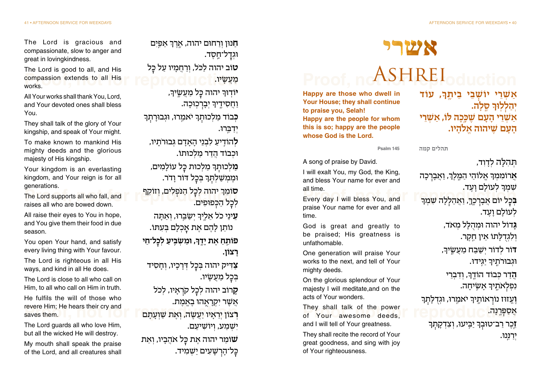# **3 722 23**

# The Lord is good to all, and His and His and His and His and His and His and His and ASHRE looluction<br>compassion extends to all His **and His and Dependent city and and ASHREI** and and and and and and and and and an<br>extend

**ָ , עוֹ ד אַ שׁ ְ רֵ י יוֹ שׁ ְְ בֵ י בֵ יתֶ ֽ ך ָ סֶּ ֽ לָ ה. ּ יְ הַ לְְ לֽ וך אַ שׁ ְ רֵ י הָ עָ ם שׁ ֶ כָּ ֽ כָ ה ּלוֹ , אַ שׁ ְ רֵ י הָ עָ ם שׁ ֶ יהוה אֱ לֹהָ יו.**

**תהלים קמה 145 Psalm**

# תהלה לדוד,

אֲרוֹמִמְךָ אֱלוֹהַי<sub>ּ</sub> הַמֶּלֶךְ, וַאֲבָרְכָה .<br>שִמְרְ לְעוֹלָם וָעֶד

ָ לעוֹלם ועד.

> **ג**ִדוֹל יהוה וּמהלל מאד, ולגדלתוֹ אין חקר.

**ד**ּוֹר לְדוֹר יְשַׁבַּח מַעֲשֶיךָ, וּגְבוּרֹתֶיךָ יַגְידו.

.<br><mark>הֲ</mark>דַר כְּבוֹד הוֹדֶךָ, וְדִבְרֵי .<br>נִפְלְאֹתֶיךָ אָשֶיחָה

ָ <mark>וָעֱזוּז נוֹרְאוֹתֶיךָ יֹאמֵרוּ, וּגְדֻלַתְ</mark>ךָ

ּ אֲ סַ פ ּ ְְ רֶ ֽ נָ ה. ָ **זֶכֶר רַב־טוּבְךְ יַבְּיעוּ, וְצִדְקָתְךְ** ּ יְ רַ נ ּ ֵ ֽנו.

**in Happy** are those who dwell in **Your House; they shall continue**  $\mathbf{to}$  praise vou. Selah! **Happy** are the people for whom **this is so; happy are the people whose God is the Lord.** 

A song of praise by David.

I will exalt You, my God, the King, and bless Your name for ever and all time

Every day I will bless You, and praise Your name for ever and all .time

God is great and greatly to be praised; His greatness is .unfathomable

One generation will praise Your works to the next, and tell of Your mighty deeds.

On the glorious splendour of Your majesty I will meditate, and on the acts of Your wonders.

revere Him; He hears their cry and<br>saves them. sawes the and a hears their cry and **production of the power and a heart of the power a** conception of Your awesome deeds, They shall talk of the power of Your awesome deeds, and I will tell of Your greatness.

> They shall recite the record of Your great goodness, and sing with joy of Your righteousness.

הַנּוּן וְרַחוּם יהוה, אֶרֶךְ אַפַּיִם וּגדל־חסד.

**ט**וֹב יהוה לכל, ורחמיו על כל .מעשיו **י**וֹדְוּךְ יהוה כְּל מַעֲשֶיךָ, וַחֲסִידֶיךָ יְבָרְכְוּכָה. <mark>ַּכְּבוֹד מַלְכוּתְךָ יֹאמֵרוּ, וּגְבוּרָתְ</mark>ךָ ּ יְ דַ בֵּ ֽרו.

ָ

**לְהוֹדִיעַ לִבְנֵי הַאַדַם גִּבוּרֹתַיו,** וּכִבוֹד הדר מלכוּתוֹ.

שְּבְּוּ אָעוֹצָם, וְזוֹקֵף , אֲ הַיֹּף וֹשׁ au ume.<br>Every day I will bless You, and and מִכְל יוֹם אֲבָרְכֶרֶ, וַאֲהַלְלָה שִׁמְךָּ שִׁמְךָ בִּי, וַאֲהַלְלָה שִׁמְ<br>Every day I will bless You, and and and and all who are **מַ**לְכוּתְךָ מַלְכוּת כְּל עוֹלָמִים, וּמֶמְשַׁלְתְּךָ בְּכָל דוֹר וַדֹר. <mark>סוֹמֵךְ יהוה לְכָל הַנֹּפְלִים, וְזוֹקֵף</mark> לְכָל הַכְּפוּפִים.

> **עֵ**ינֵי כֹל אַלֶיךָ יְשַׂבֵּרוּ, וְאַתָה ּ נוֹתֵן לָהֶם אֶת אַכְלָם בְּעָתּוֹ. פּוֹתֵחַ אֶת יָדֶךָ, וּמַשְׂבְּיעַ לְ<mark>כְל־חַי</mark> **רָ צוֹ ן.**

**צַ**דִּיק יהוה בִּכָל דְּרָכָיו, וְחָסִיד בִּכַל מַעֲשָׂיו.

**קְרוֹב יהוה לְכַל קֹרְאֵיו, לִכֹל** ֿ *אֲ יֵי יִ*קְרַאֲהוּ בֵאֲמֶת. **ר**צוֹן יְרְאִיו יַעֲשֶׂה, וְאֶת שַׁוְעָתָם יִ שְׁמַע, וְיוֹשִׁיעֵם. **שׁ** ּ וֹ מֵ ר יהוה אֶ ת כָָ ל אֹהֲ בָ יו, וְ אֵ ת כַּל־הָרִשָׁעִים יַשְׁמִיד.

The Lord is gracious and compassionate, slow to anger and great in lovingkindness.

The Lord is good to all, and His compassion extends to all His works.

All Your works shall thank You, Lord. and Your devoted ones shall bless .You

They shall talk of the glory of Your kingship, and speak of Your might.

To make known to mankind His mighty deeds and the glorious majesty of His kingship.

Your kingdom is an everlasting kingdom, and Your reign is for all .generations

The Lord supports all who fall, and raises all who are bowed down.

All raise their eyes to You in hope, and You give them their food in due season.

You open Your hand, and satisfy every living thing with Your favour.

The Lord is righteous in all His ways, and kind in all He does.

The Lord is close to all who call on Him, to all who call on Him in truth. He fulfils the will of those who revere Him; He hears their cry and

saves them. The Lord guards all who love Him, but all the wicked He will destroy.

My mouth shall speak the praise of the Lord, and all creatures shall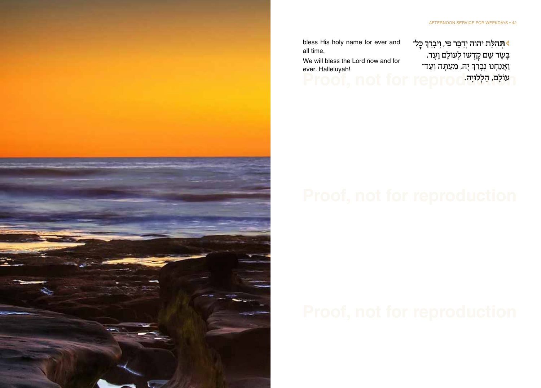bless His holy name for ever and all time.

We will bless the Lord now and for ever. Halleluyah!

<mark>ּ תְּ</mark>הִלַּת יהוה יְדַבֶּר פִּי, וִיבָרֵךְ כְָּל־ ְ בָּשָׂר שֵׁם קָדְשׁוֹ לְעוֹלָם וָעֶד. ּוֹאֲנַחְנוּ נְבָרֵךְ יָהּ, מֵעַתָּה וְעַד־ ֧֖֖֖֖֖֖ׅ֪֪֪֪ׅ֚֚֚֚֚֚֚֚֚֚֝֝֓<u>֚</u> <mark>ּ עוֹלָם, הַלְלוּיָה.</mark>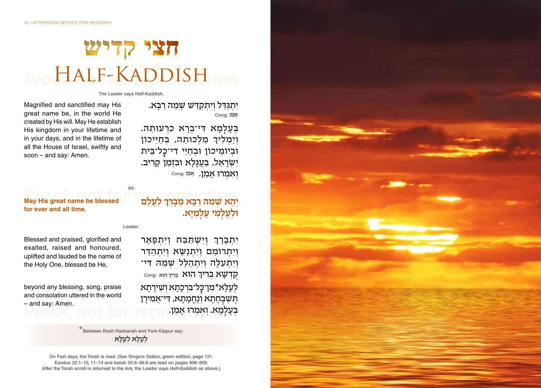

# חצי קדיש

**The Leader says Half-Kaddish.** 

אָ מֵ ן **:Cong** ּ יִ תְ ג ּ ַ ד ַ ל ּ וְ יִ תְ קַ ד ּ ַ שׁ שׁ ְ מֵ ה רַ בָּ א.

בְּעַלְמָא דִּי־בְרָא כְרְעוּתֶה. וְיַמְלִיךְ מַלְכוּתֵהּ, בְּחַיֵּיכוֹן ֦֧֦֧֢֦֧<u>֓</u> ּוּבְיוֹמֵיכוֹן וּבְחַיֵּי דִי־כְל־בֵּית ּ יִ שְׂ רָ אֵ ל, בַּ עֲ גָ לָ א ובִ זְ מַ ן קָ רִ יב. **וְאִמְרוּ אָמֵן.** אִמֵּו :cong

in your days, and in the lifetime of all the House of Israel, swiftly and soon – and say: Amen.

Magnified and sanctified may His great name be, in the world He created by His will. May He establish His kingdom in your lifetime and

# **May His great name be blessed** for ever and all time.

**:Leader**

**:All**

Blessed and praised, glorified and exalted, raised and honoured, uplifted and lauded be the name of the Holy One, blessed be He,

beyond any blessing, song, praise and consolation uttered in the world - and say: Amen.

> $*$  Between Rosh Hashanah and Yom Kippur say: לעלא לעלא

**On Fast days, the Torah is read. (See Singers Siddur, green edition, page 121.** Exodus 32:1-10, 11-14 and Isaiah 55:6-56:8 are read on pages 908-909. After the Torah scroll is returned to the Ark, the Leader says Half-Kaddish as above.)

# **לְ עָ לַ ם יְ הֵ א ּשׁ ְ מֵ ה רַ בָּ א מְ בָ רַ ך ְ לְ עָ לְְ מֵ י ּ עָ לְְ מַ יָ א. ּו**

יִתְבָּרַךְ וְיִשְׁתַּבַּח וְיִתְפָּאַר ְ ויתרוֹמם ויתנשׂא ויתהדר וְיִתְעַלֶה וְיִתְהַלַּל *שָׁמֶ*ה דִי־ **Cong: קִדְשָׁא בְּרִיךְ הוּא** ֦֧֦֧<u>֚</u> ּ לְעֵלָא\*מִן־כָּל־בִּרְכָתָא וְשִׁירָתָא ּת ּ ֻ שׁ ְ בְְּ חָ תָ א וְ נֶ חֱ מָ תָ א, ד ִ י־אֲ מִ ירָ ן **ּ בְּעַלְמֵא. וְאִמְרוּ אִמֵן.** ֦֧<u>֓</u>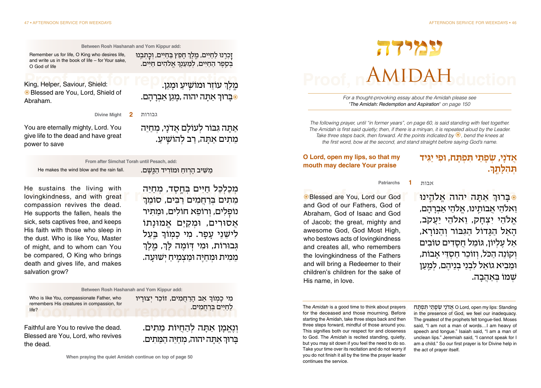**Between Rosh Hashanah and Yom Kippur add:** 

Remember us for life, O King who desires life, and write us in the book of life – for Your sake. O God of life

 $\kappa$ ing, Helper, Saviour, Shield: **for rep.** carry for any proof , r  $\mathbf{AMID}$ duction King, Helper, Saviour, Shield: <sup>O</sup> Blessed are You, Lord, Shield of .Abraham

You are eternally mighty, Lord. You give life to the dead and have great power to save

**From after Simchat Torah until Pesach, add:** 

He makes the wind blow and the rain fall. בלשיב הרוּח וּמוֹריד הגּשׁם.

רובי הריש בְּחֵעֶי, נְעְרַיֵּיה בְּחֵישׁ, הַעֲרוֹיֵי בְּחֵישׁ הַיֹּשׁ הַ Are sustains the noing with areat<br>@Blessed are You, Lord our God Martin Martin **79. אֱלְהֵיֹנוּ @Blessed are You, Lord our God Martin Areat composio** He sustains the living with lovingkindness, and with great compassion revives the dead. He supports the fallen, heals the sick, sets captives free, and keeps His faith with those who sleep in the dust. Who is like You, Master of might, and to whom can You be compared, O King who brings death and gives life, and makes salvation grow?

**Between Rosh Hashanah and Yom Kippur add:** 

Who is like You, compassionate Father, who remembers His creatures in compassion, for life?

Faithful are You to revive the dead. Blessed are You, Lord, who revives the dead.

When praying the quiet Amidah continue on top of page 50

וְכְרָנוּ לַחַיִּים, מֶלֶךְ חָפֵץ בַּחַיִּים, וְכְתְבֵנוּ .<br>בְּסֵפֶר הַחַיִּים, לְמַעַנְךָ אֱלֹהִים חַיִּים.

<mark>ּ מֶלֶךְ עוֹזֵר וּמוֹשָׁיעַ וּמָגֵן.</mark> .<br>פִּבְרוּךְ אַתָה יהוה ,מָגֵן אַבְרָהָם@

**גבורות Might Divine 2**

אתה גּבּוֹר לעוֹלם אדֹני, מחיּה מתים אתה, רב להוֹשׁיע.

מכלכל חיים בחסד, מחיה מתים ברחמים רבים, סוֹמִרְ ּ נוֹפְלִים, וְרוֹפֵא חוֹלִים, וּמַתְּיר ֿ יִמְקַיֵּם אמוּנתוֹ לִישֵׁנֵי עָפָר. מִי כָמְוֹךָ בְּעַל<br>גִּבוּרוֹת, וּמִי דוֹמה לךּ, מלך גְבוּרוֹת, וֹמִי דְוֹמֶה לָךָ, מֶלֶךְ ממית ומחיה ומצמיח ישׁוּעה.

מִי כָמְוֹךְ אַב הָרַחֲמִים, זוֹכֵר יְצוּרָיו

ונאמו אתה להחיות מתים. .<br>בָּרוּךְ אַתָה יהוה, מְחַיֵּה הַמֵּתִים.

לחיים ברחמים.

Abraham, God of Isaac and God of Jacob; the great, mighty and awesome God, God Most High, who bestows acts of lovingkindness and creates all, who remembers the lovingkindness of the Fathers and will bring a Redeemer to their children's children for the sake of His name, in love.

**אֲ דֹנָ י, שְׂ פָ תַ י ּת ּ ִ פְ תָ ח, ּופִ י ּיַ גִ יד ָ . ּת ּ ְ הִ לָ תֶ ֽ ך**

**אבות Patriarchs 1**

*The following prayer, until "in former years", on page 60, is said standing with feet together.* The Amidah is first said quietly; then, if there is a minyan, it is repeated aloud by the Leader. *Take three steps back, then forward. At the points indicated by*  $\odot$ *, bend the knees at the first word, bow at the second, and stand straight before saying God's name.* 

Amidah

77723

For a thought-provoking essay about the Amidah please see *'The Amidah: Redemption and Aspiration' on page 150* 

> <mark>ַ בָּרוּךְ אַתָּה יהוה אֱלֹהֵינוּ</mark> ואלהי אבוֹתינוּ, אלֹהי אברהם, אַלֹהִי יצחק, ואלֹהי יעקב, הָאֵל הַגְּדוֹל הַגְּבּוֹר וְהַנּוֹרָא, ּ אֵ ל עֶ לְ יוֹ ן, גוֹ מֵ ל חֲ סָ דִ ים טוֹ בִ ים וקוֹנה הכֹּל, וזוֹכר חסדי אבוֹת, וּמִביא גוֹאל לבני בניהם, למען שִׁמוֹ בַּאַהבַה.

remembers his creatures in compassion, for any lips: Standing creatures in compassion, for the **production of the creature of School (xpoor** of the deceased and those not interesting the presence of God, we feel our inade The Amidah is a good time to think about prayers for the deceased and those mourning. Before starting the Amidah, take three steps back and then three steps forward, mindful of those around you. This signifies both our respect for and closeness to God. The Amidah is recited standing, quietly, but you may sit down if you feel the need to do so. Take your time over its recitation and do not worry if you do not finish it all by the time the prayer leader continues the service.

**G** Blessed are You. Lord our God and God of our Fathers. God of

**O Lord, open my lips, so that my** mouth may declare Your praise

> Standing אֲ דֹנִי שַׂפְתִי תִפַּתְּח in the presence of God, we feel our inadequacy. The greatest of the prophets felt tongue-tied. Moses said, "I am not a man of words ... I am heavy of speech and tongue." Isaiah said, "I am a man of unclean lips." Jeremiah said, "I cannot speak for I am a child." So our first prayer is for Divine help in the act of prayer itself.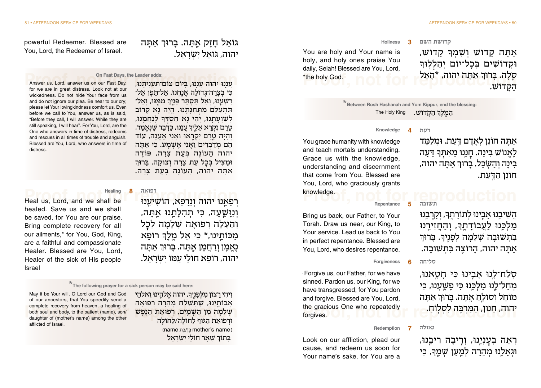אתה קדוֹשׁ ושׁמך קדוֹשׁ, ָאַתָּה קָדוֹשׁ וְשִׁמְךָ קָדוֹשׁ,<br>וּקְדוֹשִׁים בְּכָל־יוֹם יְהַלְלְוּךָ

סֶלָה. בָּרוּךְ אַתָּה יהוה, \*הָאֵל

 $\overline{\mathbf{r}}$ הקדוֹש

powerful Redeemer. Blessed are You. Lord, the Redeemer of Israel.

## **On Fast Days, the Leader adds:**

Answer us, Lord, answer us on our Fast Day, for we are in great distress. Look not at our wickedness. Do not hide Your face from us and do not ignore our plea. Be near to our cry; please let Your lovingkindness comfort us. Even before we call to You, answer us, as is said, "Before they call, I will answer. While they are still speaking, I will hear". For You, Lord, are the One who answers in time of distress, redeems and rescues in all times of trouble and anguish. Blessed are You, Lord, who answers in time of distress.

> **Healing 8**

Heal us, Lord, and we shall be healed. Save us and we shall be saved, for You are our praise. Bring complete recovery for all our ailments,\* for You, God, King, are a faithful and compassionate Healer. Blessed are You, Lord, Healer of the sick of His people Israel

# <sup>\*</sup>The following prayer for a sick person may be said here:

May it be Your will, O Lord our God and God of our ancestors, that You speedily send a complete recovery from heaven, a healing of both soul and body, to the patient (name), son/ daughter of (mother's name) among the other afflicted of Israel

גוֹאֵל חָזָק א<mark>ָ</mark>תָה. בָּרוּךְ אַתָּה יהוה, גּוֹאל ישׂראל.

<u>עַננוּ יהוה עַננוּ, בִּיוֹם צוֹם־תַּעַניתנוּ,</u> ּכ ּ ִ י בְ צָ רָ ה־גְ דוֹ לָ ה אֲ נָ ֽחְ נו ּ . אַ ל־תֵ ֽ פֶ ן אֶ ל־ ָרִשְׁעֵנוּ, וְאַל תַּסְתֵר פָּנֶיךָ מִמֶּנוּ, וְאַל־ תּתעלם מתחנתנוּ. היה נא קרוֹב ַלְשַׁוְעָתֵנוּ, יְהִי נָא חַסְדְּךָ לְנַחֲמֵנוּ, ָטֶרֶם נִקְרָא אֵלֶיךָ עֲנֵנוּ, כַּדָּבָר שֶׁנֶאֱמַר, והיה טום יקראוּ ואני אענה, עוֹד הם מדברים ואני אשמע. כי אתה יהוה הָעוֹנֶה בְּעֵת צָרָה, פּוֹדֶה<br>וּמַצִּיל בְּכָל עֵת צָרָה וְצוּקָה. בָּרוּךְ אִתָּה יהוה, הִעוֹנה בִּעַת צִרה.

**רפואה**

רפאנוּ יהוה ונרפא, הוֹשׁיענוּ ונוּשׁעה, כּי תהלתנו אתה, וְהַעֲלֶה רִפוּאָה שַׁלָמַה לִכַּל .<br>מַכּוֹתֵינוּ,\* כִּי אֵל מֶלֶךְ רוֹפֵא ּ נְאֱמָן וְרַחֲמָן אֶתָּה. בְּרוּךְ אַתָּה יהוה, רוֹפַא חוֹלי עַמּוֹ יִשׂראל.

complete recovery from heaven, a healing of the production is the gracious one who repeatedly<br>in the gracious One who repeatedly the patient (name), son/ הרוה, חכון, המרכבה לקלוח.<br>הסטאס דיים להילדי לחילד (orgives. and bod <mark>וִיהִי רָצוֹן מִלְפָנֶיךָ, יהוה אֱלֹהֲינוּ וֵאל</mark>הֵי אַבוֹתינוּ, שׁתּשׁלח מהרה רפואה שׁ למה מן השמים, רפואת הנפש וּרפוּאת הגּוּף לחוֹלה/לחוֹלה

(name בַּן/בַּת mother's name) בְּתוֹךְ שְׁאָר חוֹלֵי יִשְׂרָאֵל

**Holiness קדושת השם 3**

קלה. בָּרוּךְ אַתָּה יהוה, \*הָאֵל the holy God.<br>המדוש, answer us, Lord, answer us on our Fast Day, המדוש, או "the holy God" אֲעֲנָוּ יהוה עֲנֶוּי, "The holy God You are holy and Your name is holy, and holy ones praise You daily, Selah! Blessed are You, Lord, \*the holy God.

> $*$  Between Rosh Hashanah and Yom Kippur, end the blessing: הַמֶּלֶךְ הַקָּ<mark>דוֹשׁ. The Holy King</mark>

You grace humanity with knowledge and teach mortals understanding. Grace us with the knowledge, understanding and discernment that come from You. Blessed are You, Lord, who graciously grants knowledge.

Bring us back, our Father, to Your Torah. Draw us near, our King, to Your service. Lead us back to You in perfect repentance. Blessed are You, Lord, who desires repentance.

**Forgiveness 6**

**Repentance**

**5**

· Forgive us, our Father, for we have sinned. Pardon us, our King, for we have transgressed: for You pardon and forgive. Blessed are You, Lord, the gracious One who repeatedly forgives.

**Redemption 7**

Look on our affliction, plead our cause, and redeem us soon for Your name's sake, for You are a

**Knowledge דעת 4**

> אתּה חוֹנן לאדם דעת, וּמלמד לֶאֱנוֹשׁ בִּינָה. חֲנֵנוּ מֵאתְךֹ דֵעָה יִנְה וְהַשְׁכֵל. בְרוּךְ אַתָה יהוה,  $\varphi$ בִּינָה ו חוֹנן הדעת.

# **reproduction for not ,Proof reproduction for not ,Proof תשובה**

הֲשִׁיּבְנוּ אָבְינוּ לְתוֹרָתֶךָ, וְקָ<mark>רְב</mark>ִנוּ מַלְכֵנוּ לַעֲבוֹדָתֶךָ, וְהַחֲזִירֵנוּ<br>בּתשוּבה שלמה לפניר. ברוּך בִּתְשׁוּבָה שְׁלֵמָה לְפָנֶיךָ. בָרוּך אתה יהוה, הרוֹצה בּתשׁוּבה.

**סליחה**

ּ סלח־לנוּ אבינוּ כּי חטאנוּ, מחל־לנוּ מלכנוּ כּי פ*ִשׁ*ענוּ, כּי מוֹחֵל וְסוֹלֵחַ אֶתָּה. בָּרוֹךְ אַתָּה יהוה, חנוּן, המרבה לסלוֹח.

**גאולה**

רִאה בענינוּ, וריבה ריבנוּ, וּגְאָלֵנוּ מְהֵרָה לְמַעַן שְׁמֶךָ, כִּי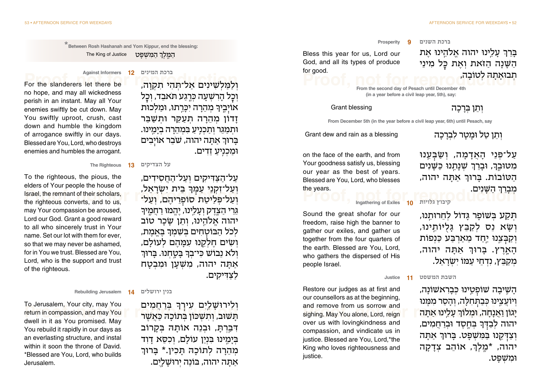\* Between Rosh Hashanah and Yom Kippur, end the blessing: The King of Justice המלר המשפט

**Informers Against 12**

For the slanderers let there be no hope, and may all wickedness perish in an instant. May all Your enemies swiftly be cut down. May You swiftly uproot, crush, cast down and humble the kingdom of arrogance swiftly in our days. Blessed are You, Lord, who destroys enemies and humbles the arrogant.

**Righteous The 13**

e vears.<br>for the remnant of their scholars, הַעֲלִי הַ הַא הָעֲלֹל הַ i אֲלֹא הַ state is cholars, הَبِلَوْ الْقَارَةُ<br>for the righteous converts, and to us, הَالْإِيَّابُ الْقَارَةُ وَ ingathering of Exiles and to us, أ To the righteous, the pious, the elders of Your people the house of Israel, the remnant of their scholars. the righteous converts, and to us. may Your compassion be aroused. Lord our God. Grant a good reward to all who sincerely trust in Your hame. Set our lot with them for ever. so that we may never be ashamed. for in You we trust. Blessed are You, Lord, who is the support and trust of the righteous.

## Rebuilding Jerusalem 14

To Jerusalem, Your city, may You return in compassion, and may You dwell in it as You promised. May You rebuild it rapidly in our days as an everlasting structure, and instal within it soon the throne of David. \*Blessed are You, Lord, who builds .Jerusalem

**ברכת המינים**

ולמלשינים אל־תהי תקוה, וְכַל הַרִשְׁעַה כְּרֻגַּע תֹּאבֵד, וְכַל ָ ּ מְ הֵ רָ ה יִ כ ָּ רֵ ֽ תו ּ , ו ּ מַ לְ כות אוֹ יְְ בֶ ֽיך זִדוֹן מִהֶרָה תִעַקֶּר וּתְשַׁבֵּר וּתְמַגֵּר וִתְכְנִיעַ בְּמְהֵרָה בִימֵינוּ. בְרוּךְ אַתָה יהוה, שֹבֵר אוֹיְבִים וּמַכִניעַ זדים.

על־הצדיקים ועל־החסידים, י<u>ָעַ</u>ל־זִקְנֵי עַמְרְ בֵּית יִשְׂרָאֵל, יְעַל־פְּלֵיטַת סוֹפְרֵיהֶם, וְעַל־<br>גּרי הצדק ועלינו, יהמוּ רחמירִ ּ גִרי הצדק ועלינוּ, יהמוּ רחמיך יהוה אַלֹהֵינוּ, וְתֵן שַׂכֵר טוֹב לְכֹל הַבוֹטְחִים בְּשִׁמְךָ בָאֱמֶת, ושׂים חלקנוּ עמהם לעוֹלם, וְלֹא נֵבוֹשׁ כִּי־בְךָ בָטֶחְנוּ. בָרוּך אתה יהוה, משען ומבטח לצדיקים.

 $\frac{1}{2}$ וְלִירוּשָׁלַיִם עִירְךָ בְּרַחֲמִים ת שוב, וְתִשְכּוֹן בְּתוֹכָה כַּאֲשֶׁר ּד ּ ִ בַּ ֽ רְ ת ָּ , ו ּ בְ נֵ ה אוֹ תָ ה בְּ קָ רוֹ ב בִּיְמֵינוּ בִּנְיַן עוֹלָם, וִכְסֵא דִוְד ּ מְהֶרָה לְתוֹכָהּ תַּכְין.\* בַּרוּךְ אתה יהוה, בּוֹנה ירוּשׁלים.

# **על הצדיקים**

**בנין ירושלים**

on the face of the earth, and from Your goodness satisfy us, blessing our vear as the best of years. Blessed are You, Lord, who blesses the years.

Sound the great shofar for our freedom, raise high the banner to gather our exiles, and gather us together from the four quarters of the earth. Blessed are You, Lord. who gathers the dispersed of His people Israel.

**Justice 11**

ro Jerusalem, Your clly, may You | בְּרַחֲמִים | עִירְךָ בְּרַחֲמִים<br>return in compassion, and may You | תַּשׁוּב, וְתִשְׁכּוֹן בְּתוֹכָה כַּאֲשֶׁר<br>clip it se You aremieod Mov | תֵּעֹשוּב, וְתִשְׁכּוֹן בְּתוֹכָה כַּאֲשֶׁ Restore our judges as at first and our counsellors as at the beginning, and remove from us sorrow and sighing. May You alone, Lord, reign over us with lovingkindness and compassion, and vindicate us in justice. Blessed are You, Lord,\*the King who loves righteousness and justice.

**Prosperity ברכת השנים 9**

הרבואתה לטובה, הרוש המינים לא המינים המינים אליתהי וא המינים וא המינים וא המינים וא המינים וא המינים וא המינים<br>הא ה For the sianderers let there be בְּרַךְ עָלֵינוּ יהוה אֱלֹהֵינוּ אֶת הַשָּׁנָה הַזֹּאת וְאֵת כַּל מִינִי תבואתה לטובה,

From the second day of Pesach until December 4th (in a year before a civil leap year, 5th), say:

From December 5th (in the year before a civil leap year, 6th) until Pesach, say

# וְתֵן בְּרָכָה Grant blessing וֹחֵ

Grant dew and rain as a blessing

Bless this year for us. Lord our God, and all its types of produce

for good.

ותן טל וּמטר לברכה

ּ עַל־פּני האדמה, ושֹבַענוּ  $\mu$ מְטוּבֶךְ, וּבָרַךְ שְׁנָתְנוּ כַּשָּׁנִים הַטּוֹבוֹת. בָּרוּךְ אַתָּה יהוה, .<br>מְבָרֵךְ הַשָּׁנִים

**קיבוץ גלויות**

תּקע בּשׁוֹפר גּדוֹל לחרוּתנוּ, וְשָׂא נֵס לִקְבֵּץ גּליּוֹתינוּ, ּ וְקַבְּצֵנוּ יַחַד מֵאַרְבַּע כַּנְפוֹת .<br>הָאֶרֶץ. בָּרוּךְ אַתָּה יהוה, ּ מְקַבֵּץ, נִדְחֵי עַמּוֹ יִשׂראל.

**השבת המשפט**

השיבה שוֹפטינוּ כ*ּבראשוֹנה,* **וְיוֹעֲצֵינוּ כִּבַתְּחִלַּה, וִהֲסֵר מִמּנוּ** .<br>יהוה לְבַדְּךָ בְּחֶסֶד וּבְרַחֲמִים, וְצַדְקֵנוּ בַּמִ*שְׁ*פָט. בָרוּך אַתָּה יהוה, \*מֶלֶךְ, אוֹהֵב צְדָקָה וּמִשְׁפַּט.

Ingathering of Exiles 10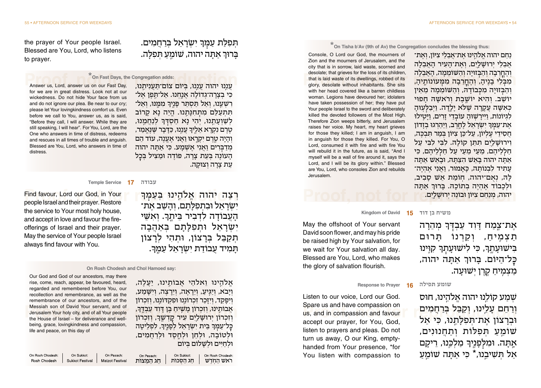the prayer of Your people Israel. Blessed are You, Lord, who listens to prayer.

<sup>\*</sup> On Fast Days, the Congregation adds:

Answer us. Lord, answer us on our Fast Day. for we are in great distress. Look not at our wickedness. Do not hide Your face from us and do not ignore our plea. Be near to our cry; please let Your lovingkindness comfort us. Even before we call to You, answer us, as is said. "Before they call, I will answer. While they are still speaking, I will hear". For You, Lord, are the One who answers in time of distress, redeems and rescues in all times of trouble and anguish. Blessed are You. Lord, who answers in time of distress.

# **עבודה Service Temple 17**

Find favour. Lord our God, in Your people Israel and their prayer. Restore the service to Your most holy house. offerings of Israel and their prayer. and accept in love and favour the fire-May the service of Your people Israel always find favour with You.

**On Rosh Chodesh and Chol Hamoed say:** 

Our God and God of our ancestors, may there rise, come, reach, appear, be favoured, heard, regarded and remembered before You, our recollection and remembrance, as well as the remembrance of our ancestors, and of the Messiah son of David Your servant, and of Jerusalem Your holy city, and of all Your people being, grace, lovingkindness and compassion, the House of Israel – for deliverance and welllife and peace, on this day of

| On Rosh Chodesh: | On Sukkot:             | On Pesach:             | On Pesach: | On Sukkot:        | On Rosh Chodes |
|------------------|------------------------|------------------------|------------|-------------------|----------------|
| Rosh Chodesh     | <b>Sukkot Festival</b> | <b>Matzot Festival</b> | חג המצות   | ∕ חַג הַסְכּוֹת ∣ | ־אש החדש       |
|                  |                        |                        |            |                   |                |

# הְפִלַּת עַמְּֽךָ יִשְׂרָאֵל בְּרַחֲמִים. בְרוּךְ אַתָּה יהוה, שוֹמֵעַ תְּפִלָּה.

ְעֵננוּ יהוה עַננוּ. בִּיוֹם צוֹם־תַּעֲנִיתנוּ. ַ כִּי בִצְרְה־גְדוֹלָה אַנְחְנוּ. אַל־תַּפַוּ אַל־ ָרִשְׁעֵנוּ, וְאַל תַּסְתֵר פָּנֶיךָ מִמֶּנוּ, וְאַל־ תּתעלם מתחנתנו. היה נא קרוֹב לְשַׁוְעָתֵנוּ, יְהִי נָא חַסְדְּךָ לְנַחֲמֵנוּ, ָטֶרֶם נִקְרָא אֵלֶיךָ עֲנֵנוּ, כַּדָּבָר שֶׁנֶאֱמַר, והיה טֻרַם יִקְרֹאוּ וֹאני אַעֲנָה, עוֹד הֵם מדברים ואני אשמע. כי אתה יהוה הַעוֹנֶה בְּעֶת צַרַה, פּוֹדֶה וּמַצִיל בְּכַל עת צרה וצוּקה.

Find favour, Lord our God, in Your רְ צֵה יהוה אֱלֹהֵינוּ בְּעַמְךָ Find favour, Lord our God, in Your רְ צֵה יהוה אֱ *לֹ*הֵינוּ בְּעַמְךָ ָ ישׂראל וּבתפלתם, והשב את־ ָ.<br>הָעֲבוֹדָה לִדְבִיר בֵּיתֶךָ. וְאִשֵׁי ישׁראַל וּתִפְלָתַם בְּאַהֲבָה תקבל ברצוֹן, וּתהי לרצוֹן

> ּ אֱ לֹהֵ ֽ ינו ּ וֵ אלֹהֵ י אֲ בוֹ תֵ ֽ ינו, יַ עֲ לֶ ה, וְיַבֹא, וְיַגִּיעַ, וְיַרְאָה, וְיָדְצֶה, וְיִשָּׁמַע, וְיִפְקֶד, וְיִזַּכֵר זִכְרוֹנֵנוּ וּפִקְדוֹנֵנוּ, וְזִכְרוֹן אָבוֹתֵינוּ, וְזִכְרוֹן מָשִׁיחַ בֶּן דְיִד עַבְדֶךָ, וְקִרוֹן יְרוּשָׁלַיִם עִיר קָדְשֶׁךָ, וְזִכְרוֹן כְל־עַמְךֹ בֵּית יְשְׂרָאֵל לְפָנֶיךָ, לִפְלֵיטָה וּלטוֹבה, וּלחן וּלחסד וּלרחמים,

ֿתְמִיד עֲבוֹדַת יִשְׂרָאֵל עַמֶּךְ.

וּלחיים וּלשׁלוֹם בּיוֹם

# $\tilde{\cdot}$  On Tisha b'Av (9th of Av) the Congregation concludes the blessing thus:

וְעֶרְעֲרָנוּיָנוּיְנוּיָשׁוֹנֵ*וּכְו*וּוּ, וְאֲבֵלֶוֹ, , ,essiale; that grieves for the loss of us chlumps of use of the loss of use of the loss of use of the loss of use of the loss of use of the loss of use of the loss Console, O Lord our God, the mourners of Zion and the mourners of Jerusalem, and the city that is in sorrow, laid waste, scorned and desolate; that grieves for the loss of its children, that is laid waste of its dwellings, robbed of its glory, desolate without inhabitants. She sits with her head covered like a barren childless woman. Legions have devoured her: idolaters have taken possession of her; they have put Your people Israel to the sword and deliberately killed the devoted followers of the Most High Therefore Zion weeps bitterly, and Jerusalem raises her voice. My heart, my heart grieves for those they killed: I am in anguish. I am in anguish for those they killed. For You, O Lord, consumed it with fire and with fire You will rebuild it in the future as is said "And I myself will be a wall of fire around it, says the Lord, and I will be its glory within." Blessed are You. Lord, who consoles Zion and rebuilds .Jerusalem

May the offshoot of Your servant David soon flower, and may his pride be raised high by Your salvation, for we wait for Your salvation all day. Blessed are You, Lord, who makes the glory of salvation flourish.

# Response to Prayer 16

יִרַ חֵם Spare us and nave compassion on<br>Jerusalem Your holy city, and of all Your people and of all Your people and of all Your people and provide and<br>The House of Israel – for deliverance and well- הררצונ אח־הואכל אח־הו Listen to our voice. Lord our God. Spare us and have compassion on us, and in compassion and favour accept our prayer, for You, God, listen to prayers and pleas. Do not handed from Your presence, \*for turn us away, O our King, empty-You listen with compassion to

ּ נַ חֵ ם יהוה אֱ לֹהֵ ֽ ינו ּ אֶ ת־אֲ בֵ לֵ י צִ יוֹ ן, וְ אֶ ת־ אַבלי ירוּשׁלים, ואת־העיר האבלה והחרבה והבזויה והשׁוֹממה, האבלה מִבְּלִי בְנִיה, וְהָחֵרְבָה מִמַּעוֹנוֹתִיה, והבזויה מכבודה, והשוממה מאין ּ יוֹ שׁ ֵ ב. וְ הִ יא יוֹ שׁ ֶ ֽ בֶ ת וְ רֹאשׁ ָ ה ּ חָ פוי  $\epsilon$  כּאשׁה עקרה שלא ילדה. ויבלעוה לגיוֹנוֹת, וייִרשׁוּה עוֹבדי זרים, ויּטילוּ אֶת־עַמְּךָ יִשְׂרָאֵל לֶחֶרֶב, וַיַּהַרְגוּ בְזָדוֹן ָ חִסידי עליוֹן, על־כֵן צִיּוֹן בִּמַר תִּבְכֵה, וירוּשׁלים תּתּו קוֹלהּ. לִבּי לִבּי עַל חלליהם, מעי מעי על חלליהם, כ*ּי* אתה יהוה בּאשׁ הצתה, ובאש אתה ּ עַתִיד לבנוֹתהּ, כַּאמוּר, וֹאני אהיה־ לה, נאם־יהוה, חוֹמת אשׁ סביב, יַ לְכָבוֹד אֶהְיֶה בְתוֹכָהּ. בָּרוּךְ אַתָּה יהוה, מנחם ציּוֹן וּבוֹנה ירוּשׁלים.

# **משיח בן דוד David of Kingdom 15**

אֶת־צֶמַח דָּוִד עַבְדְּךָ מְהֵרָה תִצְמִיח, וְקַרְנוֹ תְרוּם ָבִישׁוּעָתֶךָ, כִּי לִישׁוּעָתְךָ קוְינוּ כְּל־הַיּוֹם. בָּרוּךְ אַתָּה יהוה, מַצְמִיח*ַ קֶרֶן יִשׁוּ*עַה.

## **שומע תפילה**

שמע קוֹלנוּ יהוה אלהינוּ, חוּס וּברצוֹן את־תפלתנוּ, כי אל ּ שׁ וֹ מֵ ֽ עַ ת ּ ְ פִ ל ּ וֹ ת וְ תַ חֲ נונִ ים, אָתָה. וּמִלְפָנֶיךָ מַלְכֵנוּ, רֵיקָם אַל תּשׁיבנוּ,<sup>\*</sup> כּי אַתַּה שׁוֹמֵעַ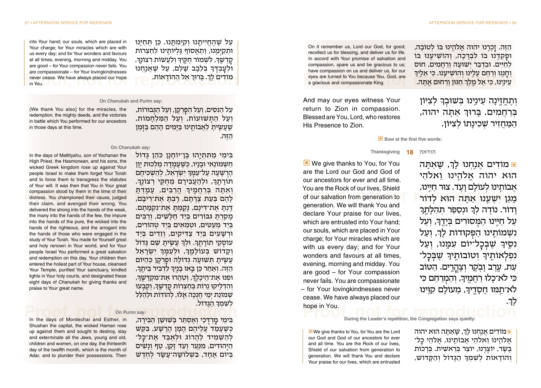ָ הַזָּהָ, זכרנוּ יהוה אַלֹהִינוּ בּוֹ לְטוֹבָהָ ּוּפְקְדֵנוּ בוֹ לִבְרָכָה, וְהוֹשִׁיעֵנוּ בוֹ<br>לחיים. וּבדבר ישוּעה ורחמים, חוּס

reproduction for the always placed our hope **reproduction of the set of the set of the set of consuming and compassionate Area**<br>Burk a gracious and compassionate King.<br>**Examples the set of the set of the set of the set of** into Your hand: our souls, which are placed in Your charge; for Your miracles which are with us every day; and for Your wonders and favours at all times, evening, morning and midday. You are good – for Your compassion never fails. You are compassionate – for Your lovingkindnesses hever cease. We have always placed our hope **in You.** We have a set of the set of the set of the set of the set of the set of the set of the set of the set

## **On Chanukah and Purim say:**

**On Chanukah say:** 

{We thank You also] for the miracles, the redemption, the mighty deeds, and the victories in battle which You performed for our ancestors in those days at this time.

In the days of Mattityahu, son of Yochanan the High Priest, the Hasmonean, and his sons, the wicked Greek kingdom rose up against Your people Israel to make them forget Your Torah and to force them to transgress the statutes of Your will. It was then that You in Your great compassion stood by them in the time of their distress. You championed their cause, judged their claim, and avenged their wrong. You delivered the strong into the hands of the weak, the many into the hands of the few, the impure into the hands of the pure, the wicked into the hands of the righteous, and the arrogant into the hands of those who were engaged in the study of Your Torah. You made for Yourself great and holy renown in Your world, and for Your people Israel You performed a great salvation and redemption on this day. Your children then entered the holiest part of Your house, cleansed Your Temple, purified Your sanctuary, kindled lights in Your holy courts, and designated these eight days of *Chanukah* for giving thanks and praise to Your great name.

## **On Purim say:** In the days of Mordechai and Esther, in

Shushan the capital, the wicked Haman rose up against them and sought to destroy, slay and exterminate all the Jews, young and old, children and women, on one day, the thirteenth day of the twelfth month, which is the month of Adar, and to plunder their possessions. Then בִימי מתתיהוּ בּוְ־יוֹחנן כֹהן גִדוֹל חשׁמוֹנאי וּבניו, כּשׁעמדה מלכוּת יון הִרְשָׁעָה עַל־עַמְרְ יִשְׂרָאֵל, לְהַשְׁכִּיחָם ָ<br>תוֹרָתֶךָ, וּלְהַעֲבִירָם מֵחֻקֵי רְצוֹנֶךָ. וְאַתָּה בְּרַחֲמֶיךָ הָרַבִּים, עָמַדְתָּ להם בעת צרתם, רבת את־ריבם, ּד ּ ַ ֽ נְ ת ּ ָ אֶ ת־ד ּ ִ ינָ ם, נָ קַ ֽ מְ תָ אֶ ת־נִ קְ מָ תָ ם. מסרתּ גִבּוֹרים בֵּיד חלשים, ורבּים בִּיד מִעָטִים, וּטְמַאיִם בִּיד טְהוֹרִים, וּרשׁעים ביד צדיקים, וזדים ביד עוֹסְקֵי תוֹרָתֶךָ. וּלְךָ עָשָׂיתָ שֵׁם גָדוֹל וְקָדוֹשׁ בְעוֹלָמֶךְ, וּלְעַמְךָ יִשְׂרָאֵל עַשִׂיתַ תְּשׁוּעָה גְדוֹלָה וּפַרְקַן כְּהָיּוֹם ְהָזֶה. וְאַחַר כֵּן בֵּאוּ בָנֶיךָ לִדְבִיר בֵּיתֶךְ, ּוֹפְנּוּ אֶת־הֵיכָלֶךְ, וְטָהֲרוּ אֶת־מִקְדָּשֶׁךָ, ּ וְהִדְלִיקוּ נֵרוֹת בְּחַצְרוֹת קָדְשֶׁךָ, וְקָבְעוּ שׁמוֹנת יְמִי חִנְכֵּה אֲלֵוּ, להוֹדוֹת וּלְהֹלֶל לְשָׁמְךָ הַגָּדוֹל.

על שהחייתנוּ וקימתנוּ. כּן תחינוּ וּתְקַיָּמֵנוּ, וְתֵאֵסוֹף גַּלִיּוֹתֵינוּ לחצרות ְקִדְשֶׁךָ, לִשְׁמוֹר חֻקֵיךְ וְלַעֲשׁוֹת רְצוֹנֶךְ, וֹלְעָבְדְּךָ בְּלֵבָב<sup>´ </sup>שָׁלֵם, עַל שֶאֲנַחְנוּ מוֹדִים לָךָ. בָּרְוּךְ אֵ<mark>ל הַהוֹדָאוֹת.</mark>

על הנִסים, ועל הפּרקן, ועל הגּבוּרוֹת, וְעַל הַתְּשׁוּעוֹת, וְעַל הַמְלְחֲמוֹת, שַׁעֲשִׂיתַ לַאֲבוֹתֵינוּ בַּיַּמִים הַהֵם בַּזְמַן

הזה.

בִימִי מרדכי ואסתר בּשׁוּשׁן הבירה, כּשׁעמד עליהם המן הרשע, ב*ּק*ש ּ לְהַשָּׁמִיד לַהֲרוֹג וּלְאַבֵּד אֶת־כַּל־ היִהוּדים, מוּער ועד זקן, טף ונשים בִיוֹם אַחד, בַּשׁלוֹשׁה־עַשׂר לחדש

On it remember us. Lord our God, for good: recollect us for blessing, and deliver us for life. In accord with Your promise of salvation and compassion, spare us and be gracious to us; have compassion on us and deliver us, for our eves are turned to You because You, God, are a gracious and compassionate King.

And may our eyes witness Your return to Zion in compassion. Blessed are You, Lord, who restores His Presence to Zion

# **E** Bow at the first five words:

# **הודאה Thanksgiving 18**

**reproduction for not ,Proof reproduction for not ,Proof**  $\blacksquare$  We give thanks to You, for You are the Lord our God and God of our ancestors for ever and all time You are the Rock of our lives. Shield of our salvation from generation to generation. We will thank You and declare Your praise for our lives, which are entrusted into Your hand; our souls, which are placed in Your charge; for Your miracles which are with us every day; and for Your wonders and favours at all times, evening, morning and midday. You are good – for Your compassion never fails. You are compassionate – for Your lovingkindnesses never cease. We have always placed our hope in You.

> $\blacksquare$  We give thanks to You, for You are the Lord our God and God of our ancestors for ever and all time. You are the Rock of our lives. Shield of our salvation from generation to generation. We will thank You and declare Your praise for our lives, which are entrusted

לְחַיִּים. וּבִדְבַר יְשׁוּעָה וְרַחֲמִים, חוּס<br>וְחָנֵּוּ וְרַחֵם עָלֵינוּ וְהוֹשִׁיעֵנוּ, כִּי אֵלֶיךָ עֵינֵינוּ, כִּי אֵל מֶלֶךְ חַנּוּן וְרַחוּם אָתָה. וְתֶחֱזֶינָה עֵינֵינוּ בְּשׁוּבְךָ לְצִיּוֹן .<br>בְּרַחֲמִים. בָּרוּךְ אַתָה יהוה, המחזיר שׁכינתו*ֹ* לציּוֹן.

**reproduction for not ,Proof reproduction for not ,Proof** ם מוֹדִים אֲנַחְנוּ לָךָ, שָׁאַתָּה  $\blacksquare$ הוּא יהוה אלהינוּ ואלֹהי **אָבוֹתֵינוּ לְעוֹלָם וַעֲד. צוּר ח**ַיּינוּ, ָמָגֵן יִשְׁעֵנוּ אַתָּה הוּא לְדוֹר<br>וָדוֹר. נוֹדֶה לְךָ וּנְסַפֵּר תְּהִלָּתֶךְ .<br>על חַיִּינוּ הַמְּסוּרִים בְּיָדֶךָ, וְעַל נִשְׁמוֹתֵינוּ הַפְקודוֹת לָךָ, וְעַל וִפֶיךָ שֶׁבְּכְל־יוֹם עִמְנוּ, וְעַל וִפְלְאוֹתֶיךָ וְטוֹבוֹתֶיךָ שֶׁבְּכָל־ עֵת, עֱרֶב וַבְקֶר ו<u>ִצְהַרִי</u>ם. הַטּוֹב ּכִּי לֹא־כָלוּ רַחֲמֶיךָ, וְהַמְרַחֵם כִּי לא־תַמוּ חֲסָדֶיךָ, מֵעוֹלָם קוִינוּ .<br>לְךָ

**During the Leader's repetition, the Congregation says quietly:** 

מוֹדִים אֲנַחְנוּ לָךְ, שָׁאַתָּה הוּא יהוה  $\blacksquare$ אַלהינוּ ואַלהי אַבוֹתינוּ, אַלהי כל־ בּשׂר, יוֹצְרְנוּ, יוֹצָר בִּרְאַשִׁית. בִּרְכוֹת וְהוֹדָאוֹת לְשִׁמְךְ הַגָּדוֹל וְהַקָּדוֹש,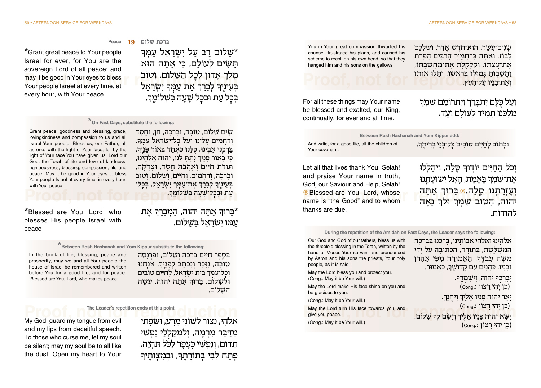וְ אֶת־בְּנִיו עַל־הַעַץ.

שׁ נים־עשׂר, הוּא־חֹדָשׁ אדר, וּשׁללם לְבוֹז. וְאַתָה בְּרַחֲמֶיךָ הָרַבִּים הַפְרְתָ ָ את־עַצתוֹ, וּקַלְקָלֶת את־מַחְשַׁבְתּוֹ, ּ וַ הֲ שׁ ֵ בֽ וֹ תָ ג ּ ְ מו ּ לוֹ בְּ רֹאשׁ וֹ , וְ תָ לו אוֹ תוֹ

וְעַל כֻּלָם יִתְבָּרַךְ וְיִתְרוֹמַם שִׁמְךָ

ּמַלְכֵּנוּ תִמְיד לִעוֹלם ועד.

may it be good in Your eyes to bless וְהָשִׁרִּוֹתְ גְּמוּלֵל בְּמִינִית גְּמוּלֵל בְּמִינִית גְּמוּלֵל בְּמִי<br>Your people Israel at every time, at and an archive confine in the confine of the confine, at an archive confi \*Grant great peace to Your people Israel for ever, for You are the sovereign Lord of all peace; and may it be good in Your eyes to bless Your people Israel at every time, at every hour, with Your peace

 $\tilde{f}$  On Fast Days, substitute the following:

Grant peace, goodness and blessing, grace, lovingkindness and compassion to us and all Israel Your people. Bless us, our Father, all as one, with the light of Your face, for by the light of Your face You have given us, Lord our God, the Torah of life and love of kindness. righteousness, blessing, compassion, life and peace. May it be good in Your eyes to bless Your people Israel at every time, in every hour, with Your peace

\*Blessed are You, Lord, who blesses His people Israel with peace

**E** Between Rosh Hashanah and Yom Kippur substitute the following:

In the book of life, blessing, peace and בְּסֶפֶר חַיִּים בִּרכה וֹשׁלוֹם, ופרנסה ָטוֹבָה, נִזָכֵר וְנִכָּתֵב לְפָנֶיךָ, אֲנַחְנוּ וְכָל־עַמְךֹ בֵית יִשְׂרָאֵל, לְחַיִּים טוֹבִים וּלְשָׁלוֹם. בָּרוּךְ אַתָּה יהוה, עֹשֵׂה

prosperity, may we and all Your people the house of Israel be remembered and written before You for a good life, and for peace. .Blessed are You, Lord, who makes peace

The Leader's repetition ends at this point.

My God, guard my tongue from evil and my lips from deceitful speech. To those who curse me, let my soul be silent; may my soul be to all like the dust. Open my heart to Your

**ברכת שלום Peace 19**

ָ שלוֹם רַב עַל יִשְׂרָאֵל עַמְךֹ $w^*$ ּת ּ ָ שִׂ ים לְ עוֹ לָ ם, כ ּ ִ י אַ ת ָּ ה הוא מֶלֶךְ אָדוֹן לְכָל הַשָּׁלוֹם. וְטוֹב בְּעֵינֶיְךָ לְבָרֵךְ אֶת עַמְּךָ יִשְׂרָא<sup>ָ</sup>ל ּבְּלִ עֵת וּבְכְל שָׁעָה בִּשְׁלוֹמֶךָ.

שֹׁים שׁלוֹם, טוֹבה, וּברכה, חן, וחסד וְרַחֲמִים עָלֵינוּ וְעַל כְּל־יִשְׂרָאֵל עַמֶּךָ. בְּרְכֵנוּ אָבְינוֹ, כָּלָנוּ כְּאֶחָד בְּאוֹר פָּנֶיךָ, ְכִי בְאוֹר פָּנֶיךָ נָתָתָ לָנוּ, יהוה אֱלֹהֵינוּ, תּוֹרת חיּים ואהבת חסד, וּצדקה, וּברכה, ורחמים, וחיים, ושלוֹם. וְטוֹב בְּעֵינֶיְךָ לְבָרֵךְ אֶת־עַמְֽךָ יִשְׂרָאֵל, בְּכְל־ <mark>ֿעֵת וּבְכְל־שָׁעָה בִּשְׁלוֹמֶךָ.</mark>

יּבְרוּךְ אַתָּה יהוה, הַמְבָרֵךְ אֶת<sup>ָ</sup> עמוֹ ישׂראל ב*ּש*ׁלוֹם.

אלֹהי, נצוֹר לשׁוֹני מרע, וּשׂפתי מִדַּבֵּר מִרמַה, וִלְמִקַלְלִי נַפְשִׁי תִדּוֹם, וְנַפְשִׁי כֶּעָפָר לַכּל תִּהְיֶה.<br>פְּתַח לִבִּי בְּתוֹרָתֶךָ, וּבְמִצְוֹתֶיךָ

ּהַ ש ׁ ָ לוֹ ם.

**Between Rosh Hashanah and Yom Kippur add:** And write, for a good life, all the children of Your covenant.

For all these things may Your name be blessed and exalted, our King, continually, for ever and all time.

You in Your great compassion thwarted his counsel, frustrated his plans, and caused his scheme to recoil on his own head, so that they hanged him and his sons on the gallows.

reproduction for not and interest of the Selessed are You, Lord, whose of Telessed are You, Lord, whose of Tel<br>יהוה. הטוב שמר ולר נאה וְכֹל הַחַיִּים יוֹדְוּךָ סֶלָה, וִיהַלְלוּ ֿאֶת־שִׁמְךָ בֶּאֱמֶת, הָאֵל יְשׁוּעָתֵנוּ וְעֶזְרָתְנוּ סֶ<mark>לָה. ּ</mark> בָּרוּךְ אַתָּה יהוה, הַטּוֹב שִׁמְרְ וּלְךָ נָאֶה להוֹדוֹת.

וּכְתוֹב לְחַיִּים טוֹבִים כְּל־בְּנֵי בְרִיתֶךָ<mark>.</mark>

Let all that lives thank You, Selah! and praise Your name in truth, God, our Saviour and Help, Selah! **O** Blessed are You, Lord, whose name is "the Good" and to whom

thanks are due

During the repetition of the Amidah on Fast Days, the Leader says the following:

ָ

יִהַיֹּ רָצוֹן יְרָשִׁם לְךְ שִׁמְא May the Lord turn His face towards you, and and and and and and the Lord turn of the Lord turn of the Lord turn of the Lord turn of the Lord turn of the Lord turn of the State couple f ָ אלֹהִינוּ וַאלֹהִי אָבוֹתיִנוּ, בֵּרְכֵנוּ בַּבֵּרְכָה המשלשת, בתּוֹרה, הכתובה על ידי  $\alpha$ מֹשֶׁה עַבְדֶךְ, הָאֲמוּרָה מִפִּי אַהֲרֹן ּוּבָנָיו, כֹּהֲנִים עַם קְדוֹשֶר, כָ<mark>אָמוּר.</mark> יְבָרֶכְךָ יהוה, וְיִשְׁמְרֶךָ. (כֵן יְהִי רַצוֹן) יְאֵר יהוה פָּנָיו אַלֶיךָ וִיחֻנֶּ<u>ך</u>ָ. (כֵן יְהִי רְצוֹן) (כֵן יְהִי רַצוֹן) Our God and God of our fathers, bless us with the threefold blessing in the Torah, written by the hand of Moses Your servant and pronounced by Aaron and his sons the priests, Your holy people, as it is said: May the Lord bless you and protect you. (Cong.: May it be Your will.) May the Lord make His face shine on you and be gracious to you. (Cong.: May it be Your will.) May the Lord turn His face towards you, and give you peace. (Cong.: May it be Your will.)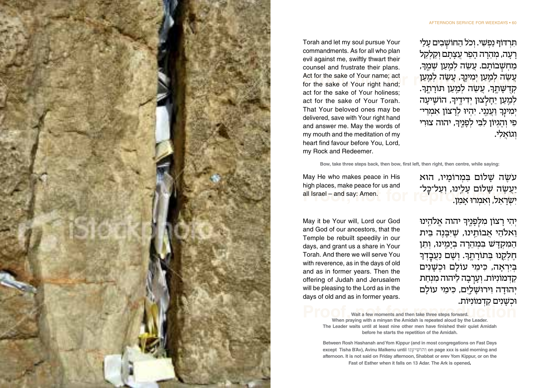

Torah and let my soul pursue Your commandments. As for all who plan evil against me, swiftly thwart their counsel and frustrate their plans. Act for the sake of Your name: act for the sake of Your right hand; act for the sake of Your holiness: act for the sake of Your Torah. That Your beloved ones may be delivered, save with Your right hand and answer me. May the words of my mouth and the meditation of my heart find favour before You, Lord, my Rock and Redeemer.

ת רדוֹף נפ*ּשׁי.* וכל החוֹשבים עלי רַעֲה, מְהֵרה הַפֶּר עֲצַתַם וִקַלְקֶל מַחְשְׁבוֹתָם. עֲשֵׂה לְמַעַן שְׁמֶךָ, ָ ּקְדֻשָּׁתֶךָּ, *עֲשֵׂה* לְמַעַן תּוֹרָתֶךָּ. ָ ָ לְמַעַן יֵחָלְצוּן יְדִידֶיךָ, הוֹשְיעָה ָ יְמִינְךָ וַעֲנֵנִי. יִהְיוּ לְרָצוֹן אִמְרֵי־ ָ פִי וְהֶגְיוֹן לִבִּי לְפָנֶיךָ, יהוה צוּרִי ָ וגוֹאלי.

Bow, take three steps back, then bow, first left, then right, then centre, while saying:

May He who makes peace in His high places, make peace for us and all Israel - and say: Amen.

עֹשׂה שׁלוֹם בַּמִרוֹמִיו, הוּא יַעֲשֶׂה שָׁלוֹם עַלֵינוּ, וְעַל־כַּל־ ישׂראל, ואמרו אמן.

May it be Your will. Lord our God and God of our ancestors, that the Temple be rebuilt speedily in our days, and grant us a share in Your Torah, And there we will serve You with reverence, as in the days of old and as in former years. Then the offering of Judah and Jerusalem will be pleasing to the Lord as in the days of old and as in former years.

יְהִי רָצוֹן מִלְפָנֶיִךָ יהוה אֱלֹהֵינוּ ָ וֵ אלֹהֵי אֲבוֹתֵינוּ, שֵׁיִּבֵּנֶה בֵּית ָהַמְקְדַּשׁ בְּמְהֶרָה בְיָמֵינוּ, וְתֵן הַלְקֵנוּ בְּתוֹרָתֶךָ. וְשָׁם נַעֲבְדְךָ ָ בִּיְרְאָה, כִּימֵי עוֹלַם וּכְשָׁנִים קדמוֹניּוֹת. וערבה ליהוה מנחת יִהוּדַה וְירוּשׁלֵיִם, כּימי עוֹלם ּוּכְשָׁנִים קַדְמוֹנִיּוֹת.

Wait a few moments and then take three steps forward. When praying with a minyan the Amidah is repeated aloud by the Leader. The Leader waits until at least nine other men have finished their quiet Amidah before he starts the repetition of the Amidah.

Between Rosh Hashanah and Yom Kippur (and in most congregations on Fast Days except Tisha B'Av), Avinu Malkenu until יְהוֹשׁיעֵנו on page xxx is said morning and afternoon. It is not said on Friday afternoon, Shabbat or erev Yom Kippur, or on the Fast of Esther when it falls on 13 Adar. The Ark is opened.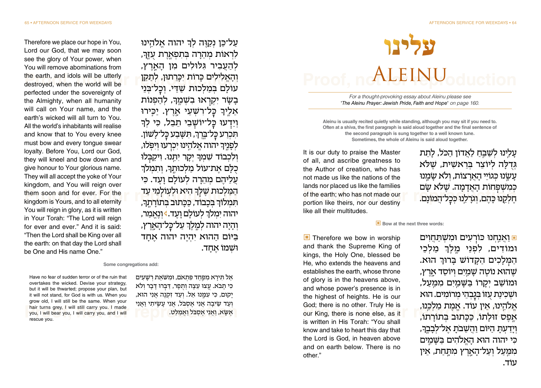Therefore we place our hope in You, Lord our God, that we may soon see the glory of Your power, when You will remove abominations from the earth, and idols will be utterly destroyed, when the world will be perfected under the sovereignty of the Almighty, when all humanity will call on Your name, and the earth's wicked will all turn to You. All the world's inhabitants will realise and know that to You every knee must bow and every tongue swear loyalty. Before You, Lord our God, they will kneel and bow down and give honour to Your glorious name. They will all accept the yoke of Your kingdom, and You will reign over them soon and for ever. For the kingdom is Yours, and to all eternity You will reign in glory, as it is written in Your Torah: "The Lord will reign for ever and ever." And it is said: "Then the Lord shall be King over all the earth: on that day the Lord shall be One and His name One."

עַל־כֵּן נְקַוֶּה לְךָ יהוה אֱלֹהֵינוּ לִרְאוֹת מְהֵרָה בְּתִפְאֶרֶת עֻזֶךָ, להעביר גּלוּלים מן הארץ, והאלילים כרוֹת יכרתוּו, לתקו עוֹלם במלכוּת שׁד*י.* וכל־בני ָבְשָׂר יִקְרְאוּ בִשְׁמֶךָ, לְהַפְנוֹת ָ אַליךָ כַּל־רֹשׁעי אַרץ. יכּירוּ אֵלֶיךָ כְּל־רִשְׁעֵי אֶרֶץ. יַכִּירוּ<br>וְיֵדְעוּ כְּל־יוֹשְׁבֵי תֵבֵל, כִּי לְךָ .<br>תִכְרַע כְל־בֶּרֶךְ, תִּשָּׁבַע כְּל־לָשׁוֹן. לְפָנֶיךָ יהוה אֱלֹהֵינוּ יִכְרְעוּ וְיִפְלוּ, ולכבוד שמר יקר יתנו. ויקבלו וְלִכְבוֹד שִׁמְךָ יְקָר יִתְנוּ. וִיקַבְּלוּ<br>כֻלָּם אֶת־עוֹל מַלְכוּתֶךָ, וְתִמְלֹךְ עליהם מהרה לעוֹלם ועד. כִּי הַמַּלְכוּת שֶׁלְךָ הִיא וּלְעְוֹלְמֵי עַד תִ<mark>מְלוֹךְ בְּכָבוֹד, כַּכָּתוּב בְתוֹרָתֶך</mark>, יהוה יִמְלֹךְ לְעוֹלָם וָעֶד.∢וְנֶאֱמַר, וְהָיָה יהוה לְמֶלֶךְ עַל־כְּל־הָאֶרֶץ, בִּיּוֹם ההוּא יהיה יהוה אחד ּוּשׁמוֹ אחד.

Some congregations add:

Have no fear of sudden terror or of the ruin that overtakes the wicked. Devise your strategy, but it will be thwarted; propose your plan, but it will not stand, for God is with us. When you grow old, I will still be the same. When your hair turns grey, I will still carry you. I made you, I will bear you, I will carry you, and I will rescue you.

אל תירא מפחד פתאם, ומשאת רשעים ּכ ּ ִ י תָ בֹא. עֻֽ צו ּ עֵ צָ ה וְ תֻ פָ ר, ד ּ ַ בְְּ רו דָ בָ ר וְ לֹא ַיִּקוּם, כִּי עָמֲנוּ אֵל. וְעַד זִקְנַה אֲנִי הוּא, וּ עַ ד שִׂיבה אַנִי אַסְבֹּל, אַנִי עַשִׂיתִי וַאֲנִי ּאֶ ש ּ ָׂ א, וַ אֲ נִ י אֶ סְ בּ ֹל וַ אֲ מַ לֵ ט.



# **reproduction for not ,Proof reproduction for not ,Proof FINU**

For a thought-provoking essay about Aleinu please see *1The Aleinu Praver: Jewish Pride. Faith and Hope' on page 160.* 

Aleinu is usually recited quietly while standing, although you may sit if you need to. Often at a shiva, the first paragraph is said aloud together and the final sentence of the second paragraph is sung together to a well known tune. Sometimes, the whole of Aleinu is said aloud together.

קביש-רוודי קייני פון איי א איר שם המשמש האי המוסים ומשפח המוסים והמולכות שלך היא ולעולמי עד.<br>חלקנו כָּהֶם, וְגֹרַלֵנוּ כְּכָל־הֲמוֹנָם. "of the earth; who has not made our<br>חלקנו כָּהֶם, וְגֹרַלֵנוּ כְּכָל־הֲמוֹנָם. " port It is our duty to praise the Master of all, and ascribe greatness to the Author of creation, who has not made us like the nations of the lands nor placed us like the families of the earth: who has not made our portion like theirs, nor our destiny like all their multitudes.

reproduction in the is the production of the state of the state of the state of the state of the state of the state of the state of the state of the state of the state of the state of the state of the state of the state o  $\blacksquare$  Therefore we bow in worship and thank the Supreme King of kings, the Holy One, blessed be He. who extends the heavens and establishes the earth, whose throne of glory is in the heavens above. and whose power's presence is in the highest of heights. He is our God; there is no other. Truly He is our King, there is none else, as it is written in His Torah: "You shall know and take to heart this day that the Lord is God, in heaven above and on earth below. There is no ".other

עלינוּ לשבח לאדוֹו הכל, לתת גדלה ליוֹצר בּראשׁית, שלא עשׂנוּ כּגוֹיי הארצוֹת, ולֹא שֹׂמנוּ  $\,$  כּמשׁפּחוֹת האדמה. שלא שם חֲלָקָנוּ כַּהֶם, וגֹרלנוּ כִּכְל־הֹמוֹנִם.

# **E** Bow at the next three words:

© ּ וַ אֲ נַ ֽחְ נו ּכו ּ ֹ רְְ עִ ים ו ּ מִ שׁ ְ תַ חֲ וִ ים ומודים, לִפְנֵי מֶלֶךְ מַלְכֵי הַמְלָכִים הַקָּדוֹשׁ בָרוּך הוא. שהוא נוֹטה שמים ויוֹסד ארץ, וּמוֹשַׁב יִקַרוֹ בַּשַׁמַיִם מִמַּעַל, וּשָׁכִינַת עָזוֹ בִּגָבְהֵי מִרוֹמִים. הוּא אלֹהינוּ, אין עוֹד. אמת מלכנוּ, אָפַס זוּלתוֹ, ככתוב בתורתוֹ, וְיָדַעְתָ הַיּוֹם וַהֲשֵׁבֹתָ אֶל־לְבָבֶךָ, כ*ּי יהוה הוא האלהים בשמים* מִמַעַל וְעַל־האַרץ מִתְחַת, אֵין עוֹד.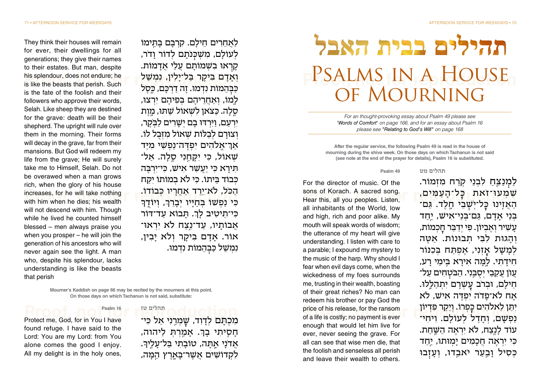They think their houses will remain for ever, their dwellings for all generations; they give their names to their estates. But man, despite his splendour, does not endure; he is like the beasts that perish. Such is the fate of the foolish and their followers who approve their words. Selah. Like sheep they are destined for the grave: death will be their shepherd. The upright will rule over them in the morning. Their forms will decay in the grave, far from their mansions. But God will redeem my life from the grave; He will surely take me to Himself, Selah. Do not be overawed when a man grows rich, when the glory of his house increases, for he will take nothing with him when he dies; his wealth will not descend with him. Though while he lived he counted himself  $b$ lessed – men always praise you when you prosper – he will join the generation of his ancestors who will never again see the light. A man who, despite his splendour, lacks understanding is like the beasts that perish

לְאַחֲרִים חֵילָם. קִרְבָּם בַּתֵּימוֹ לְעוֹלָם, מִשָּׁכִּנֹתַם לְדוֹר ודֹר, ּ קָ רְְ או בִ שׁ ְ מוֹ תָ ם עֲ לֵ י אֲ דָ מוֹ ת. ואדם ביקר בל־ילין, נמשל כִּבְּהֵמוֹת נִדְמוּ. זָה דִרְכַּם, כֶּסֶל למוֹ, ואחריהם בּפיהם ירצוּ, ּ סלה. כּצֹאן לשֹאוֹל שֹתּוּ, מוֹת ירעם, ויּרדוּ בם ישרים לבקר, וצוּרם לבלוֹת שׁאוֹל מזבל לוֹ. .<br>אַך־אֱלֹהים יִפְדֶה־נַפְשִׁי מִיַּד ֿ שׁאוֹל, כִּי יִקַחֲנִי סֵלָה. אַל־ ת ירא כי יעשר איש, כי־ירבה כּבוֹד בּיתוֹ. כּי לֹא במוֹתוֹ יקָח הכל, לא־ירד אחריו כּבוֹדוֹ. כִּי נַפְשׁוֹ בְּחַיִּיו יְבָרֵך, וְיוֹדֶךָ כִּי־תֵיטִיב לָךָ. תָּבוֹא עַד־דוֹר ּ אֲ בוֹ תָ יו, עַ ד־נֵ ֽצַ ח לֹא יִ רְ או־ אוֹר. אַדָם בִּיקָר וְלֹא יַבִין, נמשל כּבּהמוֹת נדמוּ.

Mourner's Kaddish on page 66 may be recited by the mourners at this point. On those days on which Tachanun is not said, substitute:

**Psalm** 16

Protect me, God, for in You I have found refuge. I have said to the Lord: You are my Lord: from You alone comes the good I enjoy. All my delight is in the holy ones,

**תהלים טז** מִכְתַם לְדַוְד, שַמְרֵנִי אֵל כִּי־ הָסִיתי בָךָ. אָמַרְתְּ לַיהוה, אֲדֹנָי אֶתָה, טוֹבָתִי בַּל־עָלֶיךָ. לִקְדוֹשִׁים אַשָר־בַּאַרץ הִמֵה,

# תהילים בבית האבל to their estates. But man, despite<br>his splendour, does not endure; he<br>is like the beasts that perish. Such such crooted and exacted a in a perish. Such OF MOURNING

For an thought-provoking essay about Psalm 49 please see *'Words of Comfort' on page 166, and for an essay about Psalm 16 168 page on" Will s'God to Relating "see please*

After the regular service, the following Psalm 49 is read in the house of mourning during the shiva week. On those days on which Tachanun is not said (see note at the end of the prayer for details), Psalm 16 is substituted.

> **תהלים מט 49 Psalm**

שִׁמְעוּ־זֹאת כְּל־הָעַמִּים, sons of Korach. A sacred song.<br>Hear this, all you peoples. Listen, האזיוו החדר החדר המשלוח Hear this, all you peoples. Listen, האזיוו החדר החד<br>האזיוו הללטור החדר החדר החדר החדר החדר החדר החדר יִתֵּן לֵאלֹהִים כְּפְרוֹ. וְיֵקַר פִּדְיוֹן <sub>price of his release, for the ransom<br>נפשם. נחדל לעולם, ויחי־ of a life is costly; no payment is ever ו-Protect me God for in You Lhave</sub> For the director of music. Of the sons of Korach. A sacred song. Hear this, all you peoples. Listen, all inhabitants of the World, low and high, rich and poor alike. My mouth will speak words of wisdom; the utterance of my heart will give understanding. I listen with care to a parable; I expound my mystery to the music of the harp. Why should I fear when evil days come, when the wickedness of my foes surrounds me, trusting in their wealth, boasting of their great riches? No man can redeem his brother or pay God the price of his release, for the ransom of a life is costly; no payment is ever enough that would let him live for ever, never seeing the grave. For all can see that wise men die, that the foolish and senseless all perish and leave their wealth to others.

למנצח לבִנֵי קֹרַח מִזְמוֹר. ּ שׁ ִ מְ עו ּ ־זֹאת כ ָָּ ל־הָ עַ מִ ים, ֿ הַאֲזֵינוּ כַּל־יִשָּׁבֵי חַלֵד. גַם־ ּ בְּנֵי אַדַם, גַּם־בְּנֵי־אִישׁ, יַחַד ּ עָ שׁ ִ יר וְ אֶ בְ יוֹ ן. פ ִ י יְ דַ בֵּ ר חָָ כְ מוֹ ת, וְהַגוּת לִבְּי תְבוּנוֹת. אַטֶּה למשל אזני, אפתח בכנו*ֹר* ּ חִ ידָ תִ י. לָ ֽמָ ה אִ ירָ א בִּֽ ימֵ י רָ ע, עֲוֹן עֲקֶבִי יִסְבֵּנִי. הִבֹּטָחִים עַל־ ּ חֵ ילָ ם, ו ּ בְ רֹב עָָ שׁ ְ רָ ם יִ תְ הַ ל ּ ָ ֽלו. ּ אָ ח לֹא־פָ דֹה יִ פְ ד ֶ ה אִ ישׁ , לֹא יִתן לאלהים כפרו. ויקר פּדיוֹן נַפְשָׁם, וְחָדַל לְעוֹלָם. וְיחִי־ עוֹד לַנֶצַח, לֹא יִרְאֵה הַשַּׁחַת. כִּי יִרְאֶה חַכָּמִים יַמִוּתוּ, יַחִד ּכְּסִיל וַבַּעַר יֹאבֵדוּ, וְעָזְבוּ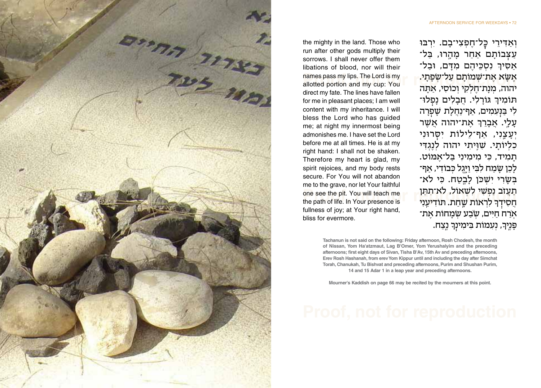

the mighty in the land. Those who run after other gods multiply their sorrows. I shall never offer them libations of blood, nor will their names pass my lips. The Lord is my allotted portion and my cup: You direct my fate. The lines have fallen for me in pleasant places; I am well content with my inheritance. I will bless the Lord who has quided me; at night my innermost being admonishes me. I have set the Lord before me at all times. He is at my right hand: I shall not be shaken. Therefore my heart is glad, my spirit rejoices, and my body rests secure. For You will not abandon me to the grave, nor let Your faithful one see the pit. You will teach me the path of life. In Your presence is fullness of joy; at Your right hand, bliss for evermore

וְאַדִירֵי כַּל־חֶפְצִי־בָם. יִרְבּוּ ֿעַצִּבוֹתַם אַחֵר מַהֲרוּ, בַּל־ ּ נִסְכֵּיהֶם מִדָּם, וּבַל־ ֧֖֖֖֖֖֚֚֚֚֚֚֚֚֚֚֝ אַ את־שמותם על־שפתי. יהוה, מְנָת־חֶלְקִי וְכוֹסִי, אַתָּה<br>תּוֹמִיךְ גּוֹרָלִי. חֲבָלִים נָפְלוּ־ לי בּנּעמים, אף־נחלת שפרה עָלֶי. אֲבָרֵךְ אֶת־יהוה אֲשֶׁר ֧֧֢֖֖֖֖֚֚֚֚֚֚֚֚֝ יעצני, אף־לילוֹת יסרוּני כליוֹתי. שׁוּיתי יהוה לנגדי ּ תָ מִ יד, כ ּ ִ י מִ ימִ ינִ י בַּ ל־אֶ מוֹ ט. לכן שמח לבי ויּגל כּבוֹדי, אף־ בּשׂרי ישׁכו לבטח. כי לא־ תַעֲזֹב נַפְשִׁי לִשָׁאוֹל, לֹא־תִתֵן הַסִידְךָ לִרְאוֹת שֶׁחַת. תּוֹדִיעֵנִי ָ א<u>ֹ</u>רַח חַיִּים, שִׂבַע שִׂמַחוֹת אֵת־ פָּנֶיךָ, נְעָמוֹת בִּימִיּנְךָ נֶצַח. ֖֖֖֖֖֖֖ׅ֖֖ׅ֖ׅ֖֪ׅ֪ׅ֪֪ׅ֪֪ׅ֪֚֚֚֚֚֚֚֚֚֚֚֚֚֚֚֚֚֚֚֚֚֝֝֝֝֝֝֓֓֓֓֝֬֝֬ ָ

Tachanun is not said on the following: Friday afternoon, Rosh Chodesh, the month of Nissan, Yom Ha'atzmaut, Lag B'Omer, Yom Yerushalyim and the preceding afternoons; first eight days of Sivan, Tisha B'Av, 15th Av and preceding afternoons, Erev Rosh Hashanah, from erev Yom Kippur until and including the day after Simchat Torah, Chanukah, Tu Bishvat and preceding afternoons, Purim and Shushan Purim, 14 and 15 Adar 1 in a leap year and preceding afternoons.

Mourner's Kaddish on page 66 may be recited by the mourners at this point.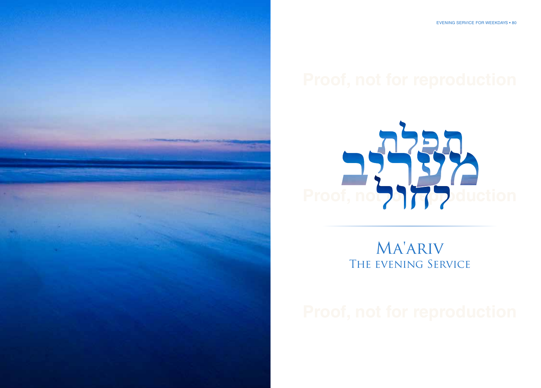

MA'ARIV THE EVENING SERVICE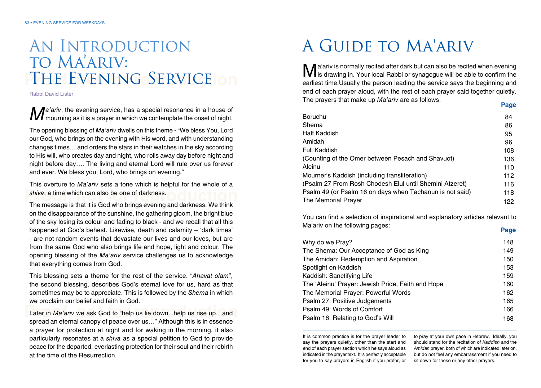# **THE EVENING SERVICE ON** AN INTRODUCTION TO MA'ARIV:

## Rabbi David Lister

Ma'ariv, the evening service, has a special resonance in a house of mourning as it is a prayer in which we contemplate the onset of night.

The opening blessing of *Ma'ariv* dwells on this theme - "We bless You, Lord our God, who brings on the evening with His word, and with understanding changes times... and orders the stars in their watches in the sky according to His will, who creates day and night, who rolls away day before night and night before day.... The living and eternal Lord will rule over us forever and ever. We bless you. Lord, who brings on evening."

**reproduced to the monocone is that it is Cod who brings overing and derkness.** This overture to *Ma'ariv* sets a tone which is helpful for the whole of a

The message is that it is God who brings evening and darkness. We think on the disappearance of the sunshine, the gathering gloom, the bright blue of the sky losing its colour and fading to black - and we recall that all this happened at God's behest. Likewise, death and calamity – 'dark times' - are not random events that devastate our lives and our loves, but are from the same God who also brings life and hope, light and colour. The opening blessing of the *Ma'ariv* service challenges us to acknowledge that everything comes from God.

This blessing sets a theme for the rest of the service. "Ahavat olam", the second blessing, describes God's eternal love for us, hard as that sometimes may be to appreciate. This is followed by the *Shema* in which we proclaim our belief and faith in God.

**reproduction** *Ma'ariv* we ask God to "help us lie down...help us rise up...and spread an eternal canopy of peace over us..." Although this is in essence a prayer for protection at night and for waking in the morning, it also particularly resonates at a *shiva* as a special petition to God to provide peace for the departed, everlasting protection for their soul and their rebirth at the time of the Resurrection.

# A GUIDE TO MA'ARIV

Ma'ariv is normally recited after dark but can also be recited when evening<br>It is drawing in. Your local Rabbi or synagogue will be able to confirm the earliest time. Usually the person leading the service says the beginning and . end of each prayer aloud, with the rest of each prayer said together quietly. The prayers that make up *Ma'ariv* are as follows: **Page**

| Boruchu                                                  | 84   |
|----------------------------------------------------------|------|
| Shema                                                    | 86   |
| Half Kaddish                                             | 95   |
| Amidah                                                   | 96   |
| Full Kaddish                                             | 108  |
| (Counting of the Omer between Pesach and Shavuot)        | 136  |
| Aleinu                                                   | 110  |
| Mourner's Kaddish (including transliteration)            | 112  |
| (Psalm 27 From Rosh Chodesh Elul until Shemini Atzeret)  | 116  |
| Psalm 49 (or Psalm 16 on days when Tachanun is not said) | 118  |
| The Memorial Prayer                                      | 122. |
|                                                          |      |

You can find a selection of inspirational and explanatory articles relevant to Ma'ariv on the following pages: **Page**

| Why do we Pray?                                   | 148 |
|---------------------------------------------------|-----|
| The Shema: Our Acceptance of God as King          | 149 |
| The Amidah: Redemption and Aspiration             | 150 |
| Spotlight on Kaddish                              | 153 |
| Kaddish: Sanctifying Life                         | 159 |
| The 'Aleinu' Prayer: Jewish Pride, Faith and Hope | 160 |
| The Memorial Prayer: Powerful Words               | 162 |
| Psalm 27: Positive Judgements                     | 165 |
| Psalm 49: Words of Comfort                        | 166 |
| Psalm 16: Relating to God's Will                  | 168 |

It is common practice is for the prayer leader to say the prayers quietly, other than the start and end of each prayer section which he says aloud as indicated in the prayer text. It is perfectly acceptable for you to say prayers in English if you prefer, or to pray at your own pace in Hebrew. Ideally, you should stand for the recitation of Kaddish and the Amidah prayer, both of which are indicated later on, but do not feel any embarrassment if you need to sit down for these or any other prayers.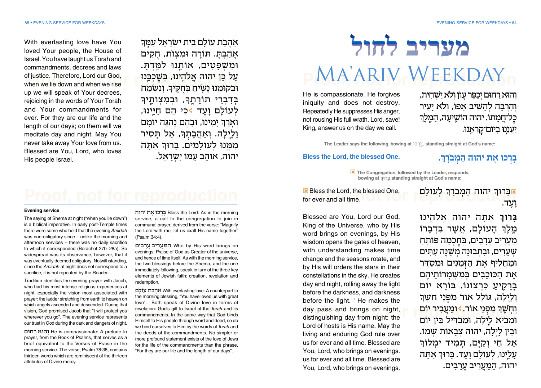With everlasting love have You loved Your people, the House of Israel. You have taught us Torah and commandments, decrees and laws of justice. Therefore. Lord our God. when we lie down and when we rise up we will speak of Your decrees. rejoicing in the words of Your Torah and Your commandments for ever. For they are our life and the length of our days; on them will we meditate day and night. May You never take away Your love from us. Blessed are You. Lord, who loves His people Israel.

ָ אהבת עוֹלם בית ישׂראל עמִר אהבתּ. תוֹרה וּמצוֹת, חקים וּ מֹשׁפּטים, אוֹתנוּ למדת. על כּו יהוה אלהינוּ, בֹּשׁכבּנוּ וּבְקוּמֶנוּ נָשְׂיחַ בְּחֻקֶיךָ, וְנִשְׂמַח<br>בּדברי תורתךּ, וּבמצותיך בְּדִבְי תוֹרָתֶךָ, וּבְמִצְוֹתֶיךָ לעוֹלם ועד 4כי הם חיינו, וְאֹרֶךְ יָמֵינוּ, וּבָהֶם נֶהְגֶה יוֹמָם וְלֵילָה. וְאַהֲבָתְךָ, אַל תָסִיר .<br>מִמֶנוּ לְעוֹלָמִים. בָּרוּךְ אַתָּה יהוה, אוֹהב עמוֹ *י*שׂראל.

# מעריב לחול

reproduction for the reproduction of pustice. Therefore, Lord our God,<br>of justice. Therefore, Lord our God, witing with and when we rise **reproduction of the push of pustice of the co**<br>khen we lie down and when we rise i

He is compassionate. He forgives iniquity and does not destroy. Repeatedly He suppresses His anger, not rousing His full wrath. Lord, save! King, answer us on the day we call.

והוא רחום יכפר עון ולא ישחית, וְהִרְבָּה לְהָשִׁיב אַפּוֹ, וְלֹא יָעִיר<br>כְּל־חֲמָתוֹ. יהוה הוֹשִִיעָה, הַמֱלֶךְ יַ יַ עֲנֵנוּ בְיוֹם־קַרְאֵנוּ.

**The Leader says the following, bowing at 
<sub>25,</sub> standing straight at God's name:** 

# **Bless the Lord, the blessed One.**

# **ְ . ּ בָּ רְְ כו אֶ ת יהוה הַ מְְ בֹרָ ך**

**■** The Congregation, followed by the Leader, responds, ְ **at bowing :name s'God at straight standing** ּ בָּ רוך

 $\blacksquare$  Bless the Lord, the blessed One. for ever and all time

Blessed are You. Lord our God. King of the Universe, who by His word brings on evenings, by His wisdom opens the gates of heaven, with understanding makes time change and the seasons rotate, and by His will orders the stars in their constellations in the sky. He creates day and night, rolling away the light before the darkness, and darkness before the light. 'He makes the day pass and brings on night, distinguishing day from night: the Lord of hosts is His name. May the living and enduring God rule over us for ever and all time. Blessed are You, Lord, who brings on evenings. us for ever and all time. Blessed are You, Lord, who brings on evenings.

<mark>ַ בָּרוּךְ יהוה הַמְבֹרָךְ לְעוֹלָם</mark> וָ עֶ ד.

 $\epsilon$ <mark>בְּרוּךְ אַתָּה יהוה אֶל</mark>הֶינוּ מֶלֶךְ הָעוֹלָם, אֲשֶׁר בִּדְבָרוֹ מַ עֲרָבִים, בַּחַכְמַה פּוֹתֵח שערים, ובתבוּנה משׁנה עתים ּו ּ מַ חֲ לִ יף אֶ ת הַ ז ּ ְְ מַ נ ִּ ים ו ּ מְ סַ ד ֵ ר את הכוכבים ב*משמ*רוֹתיהם בָּרָקִיעַ כִּרְצוֹנוֹ. בּוֹרֵא יוֹם<br>וְלֵיְלָה, גּוֹלֵל אוֹר מִפְּנֵי חְשֶׁךְ .<br>וְחְשֶׁךְ מִפְּנֵי אוֹר. >וּמַעֲבִיר יוֹם וּמִביא לילה, וּמִבדִיל בִּין יוֹם ּוּבֵין לֵיְלָה, יהוה צְבָאוֹת שְׁמוֹ.<br>אֵל חַי וְקַיָּם, תָּמִיד יִמְלוֹךְ עִלְינוּ, לְעוֹלָם וָעֶד. בָּרוּךְ אַתָּה יהוה, המעריב ערבים.

# **reproduction reproduction for the production reproduction for ever and all time. I**

## **Evening** service

The saying of Shema at night ("when you lie down") is a biblical imperative. In early post-Temple times there were some who held that the evening Amidah was non-obligatory since – unlike the morning and afternoon services – there was no daily sacrifice to which it corresponded (Berachot 27b-28a). So widespread was its observance, however, that it was eventually deemed obligatory. Notwithstanding, since the Amidah at night does not correspond to a sacrifice, it is not repeated by the Reader.

reproduction for the second of the second of the Tail of the Tail of the Tail of the Tail of the Tail of the Tail of the Tail of the Tail of the Tail of the Tail of the Tail of the Tail of the Tail of the Tail of the Tail Tradition identifies the evening prayer with Jacob, who had his most intense religious experiences at night, especially the vision most associated with prayer: the ladder stretching from earth to heaven on which angels ascended and descended. During that vision, God promised Jacob that "I will protect you wherever you go". The evening service represents our trust in God during the dark and dangers of night.

יִהוּא יַרחוּם He is compassionate: A prelude to prayer, from the Book of Psalms, that serves as a brief equivalent to the Verses of Praise in the morning service. The verse, Psalm 78:38, contains thirteen words which are reminiscent of the thirteen attributes of Divine mercy.

Eless the Lord: As in the morning בַּרְכוּ אֶת יהוה service, a call to the congregation to join in communal prayer, derived from the verse: "Magnify the Lord with me; let us exalt His name together" (Psalm 34:4).

המעריב ערבים Who by His word brings on evenings: Praise of God as Creator of the universe. and hence of time itself. As with the morning service. the two blessings before the Shema, and the one immediately following, speak in turn of the three key elements of Jewish faith: creation, revelation and .redemption

אַ With everlasting love: A counterpart to the morning blessing, "You have loved us with great love". Both speak of Divine love in terms of revelation: God's gift to Israel of the *Torah* and its commandments. In the same way that God binds Himself to His people through word and deed, so do we bind ourselves to Him by the words of Torah and the deeds of the commandments. No simpler or more profound statement exists of the love of Jews for the life of the commandments than the phrase. "For they are our life and the length of our days".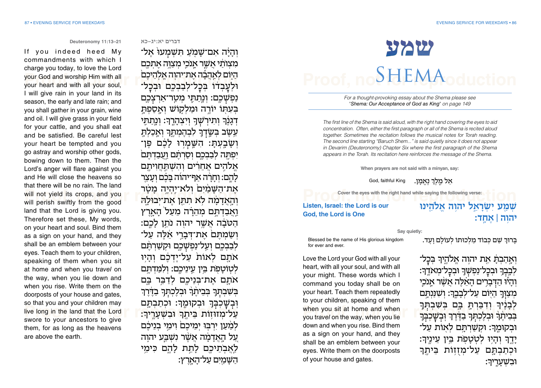**21–11:13 Deuteronomy**

If you indeed heed My commandments with which I charge you today, to love the Lord your God and worship Him with all vour heart and with all your soul. I will give rain in your land in its season, the early and late rain; and you shall gather in your grain, wine and oil. I will give grass in your field for your cattle, and you shall eat and be satisfied. Be careful lest your heart be tempted and you go astray and worship other gods, bowing down to them. Then the Lord's anger will flare against you and He will close the heavens so that there will be no rain. The land will not yield its crops, and you will perish swiftly from the good land that the Lord is giving you. Therefore set these. My words, on your heart and soul. Bind them as a sign on your hand, and they shall be an emblem between your eves. Teach them to your children, speaking of them when you sit at home and when you travel on the way, when you lie down and when you rise. Write them on the doorposts of your house and gates, so that you and your children may live long in the land that the Lord swore to your ancestors to give them, for as long as the heavens are above the earth

**דברים יא:יג–כא**

ill not yield its crops, and you and you and you and you and you and you and while saying the following verse:<br>will perish swiftly from the good **reproduction for the conduction in the formulation** for the saying the foll your God and worship Him with all **charged Formulation for Formulation formulation**<br>your heart and with all your soul, sour and with all your soul, rectriced rectriced rectricen reproduct in the land that the Lord (יְבָעֶיךָ, יִדְנוּךְ וּבִשְׁעָרֵיךְ, וּבְאֶת יִי-דִינִי, וּבְעֻרָם when you sit at home and when we here and that the Lord is and that the Lord **and the Lord develops to also and the** והיה אם־שמע תשמעו אל־ מִצוֹתי אשׁר אנכי מצוה אתכם הִיּוֹם לֹאהבֹה את־יהוה אלהיכם וּלְעַבְדוֹ בְּכְל־לְבְבְכֶם וּבְכָל־ נפשׁכם: ונתתי מטר־ארצכם בִּעָתוֹ יוֹרֵה וּמַלִקוֹשׁ ו<sub>ֹ</sub>אַסַפְתַ דגנֹרְ ותירשׁרְ ויצהרך: ונתתי עֵשֶׂב בְּשַׂדְךָ לִבְהֲמִתְּךָ ואָכלת ושבעת: השמרוּ לכם פּוִ־ יפתה לבבכם וסרתם ועבדתם אלהים אחרים והשתחויתם להם: וחרה אף־יהוה בכם ועצר את־השמים ולא־יהיה מטר וְהָאדמה לֹא תִתן את־יכוּלה וַאַבַדִּתֵּם מִהֲרָה מֵעַל הארץ הִטּבֹה אשׁר יהוה נֹתן לכם: ושמתם את־דברי אלה על־ לבבכם ועל־נפשכם וּקשרתם אֹתִם לֹאוֹת עַל־ידכֹם והיוּ לטוֹטפֹת בִּיו עִיניכם: ולמדתם אֹתִם אֶת־בְּנֵיכֶם לְדַבֵּר בִּם בִּשַׁבִתְּךָ בַּבֵיתֵךְ וּבַלֶכְתַּךְ בַדְּרַךְ וִבְשַׁכְבְּךָ וּבְקוּמֵךָ: וּכְתַבְתַם ַ עַל־מַזוּזוֹת בֵּיתֵךְ וּבִשָׁעַרִיךָ: למַעַן יִרְבִּוּ יְמֵיכֶם וִימֵי בְנֵיכֶם על האדמה אשר נשבע יהוה לאבתיכם לתת להם כימי השמים על־הארץ:

# שמע SHEMA-

## For a thought-provoking essay about the Shema please see *'Shema: Our Acceptance of God as King' on page 149*

The first line of the Shema is said aloud, with the right hand covering the eyes to aid *concentration. Often, either the first paragraph or all of the Shema is recited aloud* together. Sometimes the recitation follows the musical notes for Torah reading. *The second line starting "Baruch Shem..." is said quietly since it does not appear in Devarim (Deuteronomy) Chapter Six where the first paragraph of the Shema* appears in the Torah. Its recitation here reinforces the message of the Shema.

When prayers are not said with a minyan, say:

אֵל מַלֶּךְ נַאֲמַן, God, faithful King

Cover the eyes with the right hand while saying the following verse:

# **Listen, Israel: the Lord is our God. the Lord is One**

# **שׁ ְ מַ ֖ ע יִ שְׂ ר ָ אֵ ֑ ל יהו֥ ה ּ אֱ לֹהֵ ֖ ינו יהו֥ ה ׀ אֶ חָ ֽ ד:**

## **Say quietly:**

ואהבת את יהוה אלהיר בכל־ לִבְבָר וּבְכַל־נַפְשַׁךְ וּבְכַל־מִאֹדֵךָ: והיו הדברים האלה אשר אנכי מצוּךְ היּוֹם על־לכבךּ: ושׁנּנתּם לְבִנִיךְ וְדְבַרְתְ בַּם בַּשָׁבַתְּךָ וּבקוּמִרִ: וּקשׁרתּם לאוֹת על־ יִדְרָ וְהִיוּ לְטְטַפֹּת בֵּיוּ עֵינִיֽרָ ֿכתבתם על־מזזוֹת בּיתך ּובִשְׁעָרֶיךָ:

Elessed be the name of His glorious kingdom בָּרוּךְ שֵׁם כְּבוֹד מַלְכוּתוֹ לְעוֹלָם וָעֶד.<br>for ever and ever.

Love the Lord your God with all your heart, with all your soul, and with all your might. These words which I command you today shall be on your heart. Teach them repeatedly to your children, speaking of them when you sit at home and when you travel on the way, when you lie down and when you rise. Bind them as a sign on your hand, and they shall be an emblem between your eyes. Write them on the doorposts of your house and gates.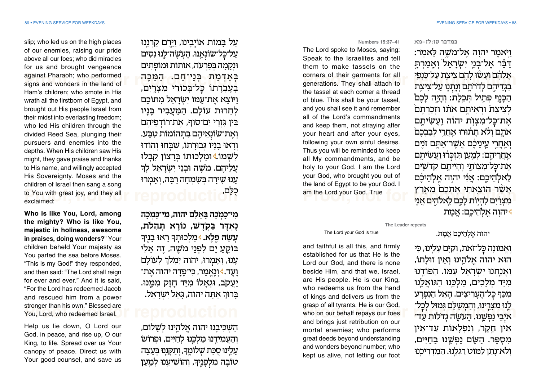slip; who led us on the high places of our enemies, raising our pride above all our foes: who did miracles for us and brought vengeance against Pharaoh; who performed signs and wonders in the land of Ham's children; who smote in His wrath all the firstborn of Egypt, and brought out His people Israel from their midst into everlasting freedom; who led His children through the divided Reed Sea, plunging their pursuers and enemies into the depths. When His children saw His might, they gave praise and thanks to His name, and willingly accepted His Sovereignty. Moses and the children of Israel then sang a song to You with great joy, and they all exclaimed:

**Who is like You, Lord, among** the mighty? Who is like You, majestic in holiness, awesome in praises, doing wonders?" Your children beheld Your majesty as You parted the sea before Moses. "This is my God!" they responded, and then said: "The Lord shall reign for ever and ever." And it is said, "For the Lord has redeemed Jacob and rescued him from a power stronger than his own." Blessed are You, Lord, who redeemed Israel.

Help us lie down, O Lord our God, in peace, and rise up, O our King, to life. Spread over us Your canopy of peace. Direct us with Your good counsel, and save us

אֲלֵהֶם וְעָשׂוּ לָהֶם צִיצָת עַל־כַּנְפֵי , corners of their garments for all<br>signs and wonders in the land of and procention are critered corners to their garments for all attach to and wo<br>בגדיהם לדרתם ונתנו על־ציצת עַל בַּמוֹת אוֹיְבֵינוּ, <u>וַי</u>ּרַם קַרְנֵנוּ ֿעַל־כָל־שׂוֹנְאֵנוּ. הָעִשֵׂה־לַּנוּ נִסִים וּנְקַמַה בִּפְרְעֹה, אוֹתוֹת וּמוֹפְתִים בּאדמת בני־חם. המכה בְעֶבְרָתוֹ כָּל־בְּכוֹרֵי מִצְרֵיִם, וִיּוֹצֵא אֶת־עַמוֹ יִשְׂרַאֵל מִתּוֹכַם לְחֵרוּת עוֹלָם. הַמַּעֲבִיר בַּנִיו בִּין גִזרי ים־סוּף, את־רוֹדפיהם וְאֵת־שׂוֹנְאֵיהֵם בְּתְהוֹמוֹת טְבַע. וְרָאוּ בְנַיו גִבוּרתוֹ, שַׁבַחוּ והוֹדוּ לשמוֹ.4וּמלכוּתוֹ בּרצוֹן קבּלוּ עַלִיהֵם. מ*ֹשֶׁ*ה וּבְנֵי יִשְׂרֹאֵל לִךְ ּעֲנוּ שִׁירַה בְּשִׂמְחָה רַבָּה, וְאָמְרוּ כלם,

> **מִ י־כָ מֹֽ כָ ה בָּ אֵ לִ ם יהוה, מִ י־כָּ מֹֽ כָ ה ּנֶאְדָּר בַּקְדֶשׁ, נוֹרָא תְהִלֹת,**<br>עְשֵׂה פֶלֶא.∢מַלְכוּתְךָ רָאוּ בָנֶיךָ בּוֹקֵעַ יִם לִפְנֵי מ*ֹשֶׁ*ה, זֶה אֵלִי עִנוּ, וְאָמְרוּ, יהוה יִמְלֹךְ לְעוֹלָם וַ עֶד. 4 וְנֶאֱמַר, כִּי־פַדַה יהוה אֶת־ יַעֲקֹב, וּגְאַלוֹ מִיַּד חַזַק מִמֵּנּוּ. בְרוּךְ אַתָה יהוה, גָּאַל יִשְׂרָאֵל.

הַשִׁכִּיבֵנוּ יהוה אַלהֵינוּ לִשַׁלוֹם, והעמידנוּ מלכנו לחיים, ופרו*ֹש*ׂ .<br>עָלִינוּ סֻכַּת שְׁלוֹמֶךָ, וְתַקְנֵנוּ בְּעֵצָה טוֹבָה מִלְפָנֶיךָ, וְהוֹשִׁיעֵנוּ לִמְעַן

## **41–15:37 Numbers**

The Lord spoke to Moses, saving: Speak to the Israelites and tell them to make tassels on the corners of their garments for all generations. They shall attach to the tassel at each corner a thread of blue. This shall be your tassel, and you shall see it and remember all of the Lord's commandments and keep them, not straying after your heart and after your eyes, following your own sinful desires. Thus you will be reminded to keep all My commandments, and be holy to your God. I am the Lord your God, who brought you out of the land of Egypt to be your God. I am the Lord your God. True

**The Leader repeats** 

and faithful is all this, and firmly established for us that He is the Lord our God, and there is none beside Him, and that we, Israel, are His people. He is our King, who redeems us from the hand of kings and delivers us from the grasp of all tyrants. He is our God, who on our behalf repays our foes and brings just retribution on our mortal enemies; who performs great deeds beyond understanding and wonders beyond number; who kept us alive, not letting our foot

**במדבר טו:לז–מא**

reproduction for an the Lord your God. True and they all reproduction for the cod. True am the Lord your God. True<br>exclaimed: מִצְרַיִּם לְהִיוֹת לַכֵם לֵאלֹהֵים אַנֵי "O O U C tile" sected am the Lord your God. True for **ויֹאמר יהוה אל־מ**ֹשׁה לאמֹר: דּבֿר אל־בּני ישׂראל ואמרת אלהם ועשוו להם ציצת על־כנפי בגדיהם לדרתם ונתנו על־ציצת הַכַּנַף פִּתְיל תִּכֵלֶת: וִהִיָּה לַכֶם לציצת וּראיתם אתו וּזכרתם את־כל־מצוֹת יהוֹה ועשיתם ֹאֹתִם וּלֹא תִתוּרוּ אַחרי לבבכם וֹאחרי עיניכֹם אשׁר־אתם זֹנים אחריהם: למען תזכּרו ועשיתם את־כַּל־מִצְוֹתֵי וְהִיִיתֵם קְדֹשֵׁים לֵאלְהֵיכֶם: אַנִّי יהוה אלהיכֹם אַשָּׁר הוֹצאתי אתכם מארץ מצרים להיות לכם לאלהים אני **∢יהוה אַלֹהיכֶם: אַמֶת** 

# יהוה אֱלֹהֵיכֶם אֱמֶת.

קנוּ מִצָּרְינוּ, וְהַמְשַׁקֵּם גְּמוּל לְכָל־ grasp of all tyrants. He is our God, מְנוּ מִצְּרְינוּ, וְהַמְשַׁקֵּם גְּמוּל לְכָל־<br>You, Lord, who redeemed Israel. You, Lord, who redeemed Israel. You, Lord, who on cur beh וֶ אֱמוּנַה כַּל־זֹאת, וְקַיַּם עַלֵינוּ, כִּי ּהו ּ א יהוה אֱ לֹהֵ ֽ ינו ּ וְ אֵ ין זולָ תוֹ , ואנחנוּ ישׂראל עמוֹ. הפוֹדנוּ מִיַּד מִלַכִים, מַלְכֵּנוּ הגּוֹאלנוּ מִכֵּף כַּל־הֱעֲרִיצִים. הָאֵל הַנִּפְרַע לֵנוּ מִצַרֵינוּ, וְהַמְשַׁלֵּם גִּמוּל לְכַל־ איִבֵי נַפְשָׁנוּ. הַעֹשֵׂה גְדֹלוֹת עַד־ אֵ ין חֵ ֽ קֶ ר, וְ נִ פְ לָ אוֹ ת עַ ד־אֵ ין מספר. השם נפשנו בחיים, ולא־נתן למוֹט רגלנוּ. המדריכנוּ

# The Lord your God is true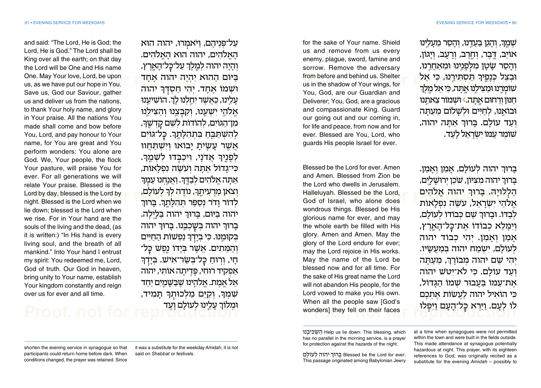and said: "The Lord. He is God: the Lord. He is God." The Lord shall be King over all the earth: on that day the Lord will be One and His name One, May Your love, Lord, be upon us, as we have put our hope in You. Save us, God our Saviour, gather us and deliver us from the nations. to thank Your holy name, and glory in Your praise. All the nations You made shall come and bow before You, Lord, and pay honour to Your name, for You are great and You perform wonders: You alone are God, We. Your people, the flock Your pasture, will praise You for ever. For all generations we will relate Your praise. Blessed is the Lord by day, blessed is the Lord by night. Blessed is the Lord when we lie down: blessed is the Lord when we rise. For in Your hand are the souls of the living and the dead, (as it is written:) "In His hand is every living soul, and the breath of all mankind." Into Your hand I entrust my spirit: You redeemed me, Lord, God of truth. Our God in heaven, bring unity to Your name, establish Your kingdom constantly and reign over us for ever and all time.

הַלְלוּיָהּ. בָּרוּךְ יהוה אֱלֹהִים alleluyah. Blessed be the Lord וְצֹא**וֹ מַרְעִיהֶךְ, נוֹדֶה לְרִ לְעוֹלָם, alleluyah. Blessed be the Lord אֱלֹהִים אֵלֹהִים alleluyah. Blessed be the Lord<br>Right. Blessed is the Lord whe** rom before and behind us. Shelter , אֵל כְּנָפֶיךָ תַּסְתִירֵנוּ, כִּי אֵל<br>us in the shadow of Your wings, for , אחד וביר חסדר ובירה אין basin the shadow of Your wings, for , was we have put our hope in You. על־פניהם, ויֹאמרוּ, יהוה הוּא האלהים, יהוה הוּא האלֹהים. וְהָיָה יהוה לְמֶלֶךְ עַל־כָּל־הָאָרֶץ, ּבַּיּוֹם הַהוּא יִהִיה יהוה אחד <mark>וּשְׁמוֹ אֶחָד. יְהִי חַסְדְּךְ יהוה</mark> עַלֵינוּ, כַּאֲשֶׁר יִחַלְנוּ לָךָ. הוֹשִׁיעֵנוּ אלֹהי ישׁענוּ, וקבּצנוּ והצילנוּ .<br>מִן־הַגּוֹיִם, לְהוֹדוֹת לְשֵׁם קָדְשֶׁךָ, לְהִשְׁתַּבְהַ בִּתְהִלָּתֶךָ. כְלִיגוֹיִם אַ עשׂית יבוֹאוּ וישתחוו לְפָנֶיךָ אֲדֹנָי, וִיכַבְּדוּ לִשָׁמֶךָ. כִּי־גָדוֹל אַתָּה וְעֹשֵׂה נִפְלָאוֹת,<br>אַתָּה אֱלֹהִים לְבַדֱךָ. וַאֲנַחְנוּ עַמְּךָ ן נוֹדֶה לְךָ לְעוֹלָם, וְצֹאן מַרְעִיתֶךָ, נוֹדֶה לְךָ לְעוֹלָם,<br>לְדוֹר וָדֹר נְסַפֵּר תְּהִלָּתֶךָ. בָּרוּךְ יהוה בַּיּוֹם, בָרוּךְ יהוה בַּלַיְלָה. בְּרוּךְ יהוה בְּשָׁכְבְּנוּ. בָּרוּךְ יהוה בְקוּמֶנוּ. כִּי בְיָדְךָ נַפְשׁוֹת הַחַיִּים וְהִמְתִים. אֲשֶׁר בְּיָדוֹ נֶפֶשׁ כַּל־ ּ חֵי, וְרוּחַ כַּל־בְּשַׂר־אִישׁ. בְּיַדְךָ ּ אַ פְ קִ יד רו ּ חִ י, פָ דִֽ יתָ ה אוֹ תִ י, יהוה אל אמת. אלהינוּ שב*ּשׁ*מים יחד ָשׁמְךָ, וְקַיֵּם מַלְכוּתְךָ תָמִיד, וּמְלוֹךְ עָלֵינוּ לְעוֹלָם וָעֶד

for the sake of Your name. Shield us and remove from us every enemy, plague, sword, famine and sorrow. Remove the adversary from before and behind us. Shelter us in the shadow of Your wings, for You, God, are our Guardian and Deliverer; You, God, are a gracious and compassionate King. Guard our going out and our coming in, for life and peace, from now and for ever. Blessed are You, Lord, who quards His people Israel for ever.

Blessed be the Lord for ever. Amen and Amen, Blessed from Zion be the Lord who dwells in Jerusalem. Halleluyah. Blessed be the Lord, God of Israel, who alone does wondrous things. Blessed be His glorious name for ever, and may the whole earth be filled with His glory. Amen and Amen. May the glory of the Lord endure for ever; may the Lord rejoice in His works. May the name of the Lord be blessed now and for all time. For the sake of His great name the Lord will not abandon His people, for the Lord vowed to make you His own. When all the people saw [God's wonders] they fell on their faces

השׁכיבנו Help us lie down: This blessing, which has no parallel in the morning service, is a prayer for protection against the hazards of the night.

בְּרוּךְ יהוה לְעוֹלָם Blessed be the Lord for ever: This passage originated among Babylonian Jewry

שְׁמֶךָ, וְהָגֵן בַּעַדֶנוּ, וְהָסֵר מֵעָלֵינוּ ּ אוֹ יֵ ב, ד ֶ ֽ בֶ ר, וְ חֶ ֽ רֶ ב, וְ רָ עָ ב, וְ יָ גוֹ ן, והסר שטן מלפנינו וּמאחרנוּ, וּבצל כּנפיך תסתירנוּ, כי אל וּבְצֵל כְּנָפֶיךָ תַּסְתִּירֵנוּ, כִּי אֵל<br>שׁוֹמְנִינוּ וּמַצִּילֵנוּ אָתָה,כִּי אֵל כֵיְלֶךְ חנּוּן ורחוּם אתה.) וּשׁמוֹר צאתנוּ וּבוֹאנוּ, לחיּים וּלשׁלוֹם מעתה וְעַד<sup>'</sup> עוֹלָם. בָּרוּךְ אַתָּה יהוה, . שוֹמר עמוֹ ישׂראל לעד

בָרוּךְ יהוה לְעוֹלָם, אָמֵן וְאָמֵ<mark>ן.</mark> ְבָרוּךְ יהוה מִצִיּוֹן, שֹכֵן יְרוּשָׁלְיִם, הַלְלוּיָה. בָּרְוּךְ יהוה אֱלֹהִים אַלהי ישׂראל, עֹשׂה נפלאוֹת .<br>לְבַדוֹ. וּבָרוּךְ שֵׁם כְּבוֹדוֹ לְעוֹלָם, וְיִמַּלֵא כְבוֹדוֹ אֶת־כַּל־הָאֲרֶץ, אָמֶן וְאָמֶן. יְהִי כְבוֹד יהוה לִעוֹלַם, יִשְׂמַח יהוה בִּמַעֲשַׂיו. יְהִי שֵׁם יהוה מְבוֹרָךָ, מֵעַתָּה וְעַד עוֹלָם. כִּי לֹא־יִטּשׁ יהוה אָת־עַמוֹ בַּעֲבוּר שִׁמוֹ הַגְּדוֹל, ּכ ִ י הוֹ אִ יל יהוה לַ עֲ שׂ וֹ ת אֶ תְ כֶ ם לוֹ לְעַם. וִיּרָא כַל־הַעַם וַיִּפְּלוּ

at a time when synagogues were not permitted within the town and were built in the fields outside. This made attendance at synagogue potentially hazardous at night. This prayer, with its eighteen references to God, was originally recited as a substitute for the evening Amidah - possibly to

shorten the evening service in synagogue so that participants could return home before dark. When conditions changed, the prayer was retained. Since

it was a substitute for the weekday Amidah, it is not said on *Shabbat* or festivals.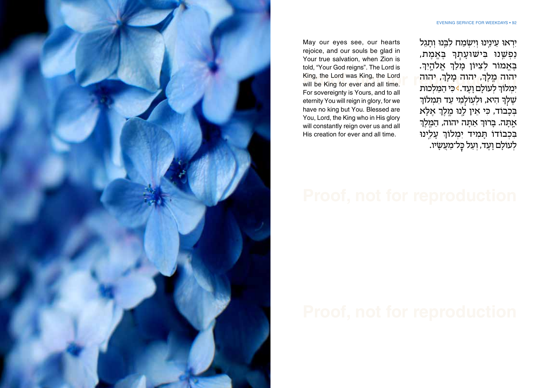יהוה מֶלֶךְ, יהוה מָלָךְ, יהוה<br>will be King for ever and all time.<br>ימלוב לייולם יויד 2 כי המלכום

May our eyes see, our hearts rejoice, and our souls be glad in Your true salvation, when Zion is told, "Your God reigns". The Lord is King, the Lord was King, the Lord will be King for ever and all time. For sovereignty is Yours, and to all eternity You will reign in glory, for we have no king but You. Blessed are You, Lord, the King who in His glory will constantly reign over us and all His creation for ever and all time.

יִרְאוּ עֵינֵינוּ וְיִשְׂמַח לִבֵּנוּ וְתַגֵל ֿנַפְשֵׁנוּ בִּישׁוּעָתְךָ בֶּאֱמֶת, ָ בָּאֱמוֹר לְצִיּוֹן מָלַךְ אֱלֹהָיִךְ. ֧֧֢֖֖֖֖֖֚֚֚֚֚֚֚֚֝ ֧֧֢֖֖֖֖֖֚֚֚֚֚֚֚֚֝ ֦֖֖֖֖֖֖֪֪֪ׅ֖֚֚֚֚֚֚֚֚֚֚֚֚֚֚֚֝֝֝֝֝֝֝֝֬֝֬֝֬֝֬֝֬֝֬֝֬ ֦֧֦֧֦֧֦֧֝֝<u>֚</u> יִמְלוֹךְ לְעוֹלָם וָעֶד.∢כִּי הַמַּלְכוּת ֧֖֖֖֖֖֖֚֚֚֚֚֚֚֚֚֝ ְ שֶׁלְךָ הִיא, וּלְעְוֹלְמֵי עַד תִּמְלוֹךְ ָ בְּכָבוֹד, כִּי אֵין לָנוּ מֶלֶךְ אֶלָא ְ ֧֧֢֖֖֖֖֖֖֖֖֪ׅ֚֚֚֚֚֚֚֚֚֚֚֝<u>֚</u> ּ בְּרוּךְ אַתָּה יהוה, הַמֶּלֶךְ ּבְכִבוֹדוֹ תָמִיד יִמְלוֹךְ עָלֵינוּ ֧֧֢֖֖֖֖֖֧֚֚֚֚֚֚֚֚֚֚֚֚֝<u>֚</u> ּ לְעוֹלָם וָעֶד, וְעַל כְּל־מַעֲשָׂיו.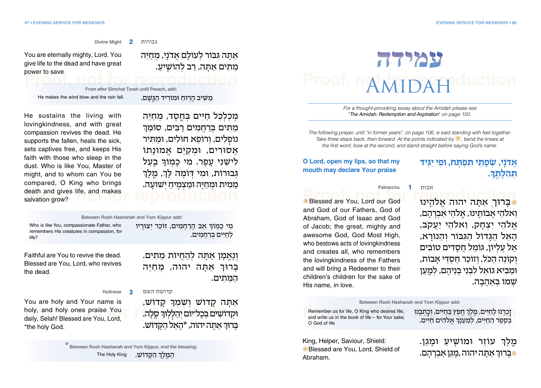**גבורות Might Divine 2**

You are eternally mighty, Lord. You give life to the dead and have great power to save

אתה גּבּוֹר לעוֹלם אדֹני, מחיּה מתים אתה, רב להוֹשׁיע.

**From after Simchat Torah until Pesach, add:** 

<code>He</code> makes the wind blow and the rain fall. בלשיב הרוּח וּמוֹריד הגּשׁם.

eath and gives life, and makes **of the production for the production of the production of the production of the proof.**<br>© Elessed are You, Lord our God Month of The Microsoft Muslim of the Microsoft of The Microsoft Musli He sustains the living with lovingkindness, and with great compassion revives the dead. He supports the fallen, heals the sick, sets captives free, and keeps His faith with those who sleep in the dust. Who is like You. Master of might, and to whom can You be compared, O King who brings death and gives life, and makes salvation grow?

**Between Rosh Hashanah and Yom Kippur add:** 

Who is like You, compassionate Father, who remembers His creatures in compassion, for life?

Faithful are You to revive the dead. Blessed are You, Lord, who revives the dead.

> **Holiness 3**

You are holy and Your name is holy, and holy ones praise You daily, Selah! Blessed are You, Lord, \*the holy God.

\* Between Rosh Hashanah and Yom Kippur, end the blessing:

The Holy King ּהמלךְ הקדוֹשׁ.

מכלכל חיים בחסד, מחיה מתים ברחמים רבים, סוֹמִרִ ּ נוֹ פְְ לִ ים, וְ רוֹ פֵ א חוֹ לִ ים, ו ּמַ ת ִ יר אסוּרים, ומקים אמוּנתוֹ לִישֵׁנֵי עָפָר. מִי כָמְוֹךָ בַּעַל<br>גבורות, וּמי דומה לך, מלך גְבוּרוֹת, וֹמִי דְוֹמֶה לָךָ, מֶלֶךְ ממית ומחיה ומצמיח ישׁוּעה.

מִי כָמְוֹךְ אַב הָרַחֲמִים, זוֹכֵר יְצוּרָיו לחיים ברחמים.

ונאמן אתה להחיות מתים.

.<br>בָרוּךְ אַתָה יהוה, מְחַיֵּה המתים.

**קדושת השם**

reproduction for the other with the book of life. O King who desires life,<br>**product for and write us in the book of life - tor Your sake, production for life, and write us in the book of life for Your sake,<br>daily. Selah!** ָ קדוֹשׁ אתה קדוֹשׁ ושׁמִר וּקְדוֹשׁים בְּכָל־יוֹם יְהַלְלוּךָ סֶלָה. בְרוּךְ אַתָה יהוה, \*הָאֵל הַקָדוֹשׁ.

# 77729 **reproduction for the same of the conduction for the conduction of the conduction of the conduction of the conduction of the conduction of the conduction of the conduction of the conduction of the conduction of the conduct**

## For a thought-provoking essay about the Amidah please see *'The Amidah: Redemption and Aspiration' on page 150.*

*The following praver, until "in former vears", on page 106, is said standing with feet together. Take three steps back, then forward. At the points indicated by*  $\odot$ *, bend the knees at* the first word, bow at the second, and stand straight before saying God's name.

# *O* **Lord, open my lips, so that my** mouth may declare Your praise

**אֲ דֹנָ י, שְׂ פָ תַ י ּת ּ ִ פְ תָ ח, ּופִ י ּיַ גִ יד**

**ָ .**

**ּת ּ ְ הִ לָ תֶ ֽ ך**

**אבות Patriarchs 1**

**GBlessed are You, Lord our God** and God of our Fathers. God of Abraham, God of Isaac and God of Jacob; the great, mighty and awesome God, God Most High, who bestows acts of lovingkindness and creates all, who remembers the lovingkindness of the Fathers and will bring a Redeemer to their children's children for the sake of His name, in love.

**ַ בַרוּרְ אִתְּה יהוה אַלֹהינוּ** ואלהי אבוֹתינוּ, אלֹהי אברהם, אלֹהי יצחק, ואלֹהי יעקב, האל הגדוֹל הגּבּוֹר והנּוֹרא, ּ אֵ ל עֶ לְ יוֹ ן, גוֹ מֵ ל חֲ סָ דִ ים טוֹ בִ ים וּקוֹנה הכֹּל, וזוֹכר חסדי אבוֹת, וּמִביא גוֹאל לבני בניהם, למען שמוֹ באהבה.

**Between Rosh Hashanah and Yom Kippur add:** 

Remember us for life, O King who desires life, and write us in the book of life – for Your sake. O God of life

King, Helper, Saviour, Shield: **O**Blessed are You, Lord, Shield of .Abraham

וָכְרָנוּ לַחַיִּים, מֶלֶךְ חָפֵץ בַּחַיִּים, וְכָתְבֵנוּ יִ יִ יִ יִ יִ<br>בְּסֶפֶר הַחַיִּים, לְמַעַנְךָ אֱלֹהִים חַיִּים.

. וּמוֹשׁיע וּמגו מלה .<br>פִּבְרוּךְ אַתָה יהוה ,מָגֵן אַבְרָהָם.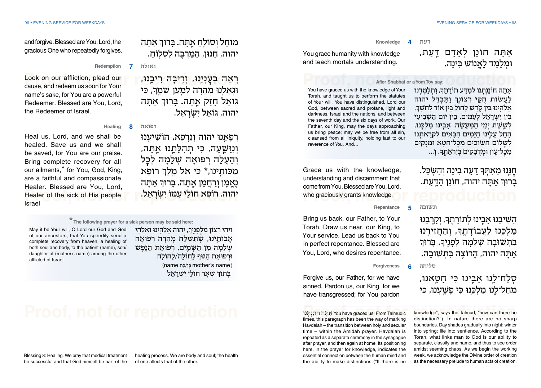וּמַלמַד לאַנוֹשׁ בִּינָה.

and forgive. Blessed are You, Lord, the gracious One who repeatedly forgives.

**Redemption**

reproduction for the production  $\mathbf{r}$ ראָה בְעֲנִינוּ, וְרִיבָה רִיבֵנוּ, after Shabbat or a Yom Tov say:<br>cause, and redeem us soon for Your and provide the proof the proof the proof the production of the production o Look on our affliction, plead our cause, and redeem us soon for Your name's sake, for You are a powerful Redeemer. Blessed are You, Lord, the Redeemer of Israel

**Healing**

requestion for the sick of His people **reproduction of the sick of His people of the sick of His people of the sick of His people**  $\blacksquare$ Heal us, Lord, and we shall be healed. Save us and we shall be saved, for You are our praise. Bring complete recovery for all our ailments,<sup>\*</sup> for You, God, King, are a faithful and compassionate Healer, Blessed are You, Lord. Healer of the sick of His people Israel

<sup>\*</sup> The following prayer for a sick person may be said here:

May it be Your will, O Lord our God and God of our ancestors, that You speedily send a complete recovery from heaven, a healing of both soul and body, to the patient (name), son/ daughter of (mother's name) among the other afflicted of Israel.

<mark>וִיהִי רָצוֹן מִלְפָנֶיךָ, יהוה אֱלֹהֲינוּ וֵאל</mark>הֵי אבוֹתינוּ, שׁתּשׁלח מהרה רפואה שלמה מן השמים, רפואת הנפש וּרפוּאת הגּוּף לחוֹלה/לחוֹלה (name בַּן/בַּת mother's name) בְּתוֹךְ שְׁאָר חוֹלֵי יִשְׂרָאֵל

Blessing 8: Healing. We pray that medical treatment be successful and that God himself be part of the healing process. We are body and soul; the health of one affects that of the other.

מוֹחֵל וְסוֹלֵ<mark>חַ אֶתָה. בָּרוּךְ אַתָה</mark> יהוה, חַנוּן, הַמַרִּבֵה לסלוֹח.

**7 גאולה**

> רְאֶה בְעַנְיִנוּ, וְרִיבַה רִיבָנוּ, וּגְאָלֵנוּ מְהֵרָה לְמַעַן שְׁמֶךָ, כִּי גוֹאַל חָזָק אֶתָה. בָּרוּךְ אַתָּה יהוה. גּוֹאל *י*שׂראל.

**רפואה 8**

> רפאנוּ יהוה ונרפא, הו*ֹשי*ענוּ ונוּשׁעה, כּי תהלתנו אתה, וְהַעֲלָה רִפוּאַה שַׁלְמַה לְכַל .<br>מַכּוֹתֵינוּ,\* כִּי אֵל מֶלֶךְ רוֹפֵא נְאֱמָן וְרַחֲמָן אֶתָּה. בְּרוּךְ אַתָּה יהוה, רוֹפַא חוֹל<mark>י</mark> עַמּוֹ יִשׂראל.

**4 דעת Knowledge**

**After Shabbat or a Yom Tov say:** 

You grace humanity with knowledge and teach mortals understanding.

You have graced us with the knowledge of Your Torah, and taught us to perform the statutes of Your will. You have distinguished. Lord our God, between sacred and profane, light and darkness, Israel and the nations, and between the seventh day and the six days of work. Our Father, our King, may the days approaching us bring peace; may we be free from all sin, cleansed from all iniquity, holding fast to our reverence of You. And...

Grace us with the knowledge, understanding and discernment that come from You. Blessed are You. Lord. who graciously grants knowledge.

> **Repentance 5**

Bring us back, our Father, to Your Torah. Draw us near, our King, to Your service. Lead us back to You in perfect repentance. Blessed are You, Lord, who desires repentance.

**Forgiveness 6**

Forgive us, our Father, for we have sinned. Pardon us, our King, for we have transgressed; for You pardon

Talmudic וננתנו You have graced us: From Talmudic times, this paragraph has been the way of marking Havdalah – the transition between holy and secular  $time -$  within the Amidah prayer. Havdalah is repeated as a separate ceremony in the synagogue after prayer, and then again at home. Its positioning here, in the prayer for knowledge, indicates the essential connection between the human mind and the ability to make distinctions ("If there is no

אַתָּה חוֹנַנְתָנוּ לְמַדַּע תּוֹרָתֶךָ, וַתְ<mark>ל</mark>ַמְדֵנוּ לַעֲשׂוֹת חֻקֵי רְצוֹנֶךְ וַתַּבְדֵל יהוה אֱלֹהֵינוּ בֵּין קֹדֶשׁ לְחוֹל בֵּין אוֹר לְחְשֶׁךָ, ּ בֵּ ין יִ שְ ׂ רָ אֵ ל לָ עַ מִ ּ ים, בֵּ ין יוֹ ם הַ שְְ ׁ בִ יעִ י לְשֵׁעַת יְמֵי המִעַשָׂה. אָבִינוּ מַלְכֵּנוּ, החל עלינוּ היִמים הבאים לקראתנוּ לשלום חשוכים מכל־חטא ומנקים ִמְכְל־עָוֹן וּמְדֻבָּקִים בְּיִרְאָתֶךָ. וְ...

# הְנֵנוּ מֵאִתְּךָ דֵעָה בִּינָה וְהַשְׂכֵל.<br>י .<br>בְּרוּךְ אַתָּה יהוה, חוֹנֵן הַדֶּעַת.

**תשובה**

הֲשִׁיּבְנוּ אָבְינוּ לְתוֹרָתֶךָ, וְקָ<mark>רְב</mark>ִנוּ מַלְכֵנוּ לַעֲבוֹדָתֶךָ, וְהַחֲזִירֵנוּ<br>בּתשוּבה שלמה לפנירּ. בּרוּרִ בִּתְשׁוּבָה שְׁלֵמָה לְפָנֶיךָ. בָרוּך אתה יהוה, הרוֹצה בתשׁוּבה.

**סליחה**

ּ סלח־לנוּ אָבִינוּ כּי חָטְאַנוּ, מִחַל־לָנוּ מַלְכֵּנוּ כִּי פַשַׁעֲנוּ, כִּי

knowledge", says the Talmud, "how can there be distinction?"). In nature there are no sharp boundaries. Day shades gradually into night; winter into spring; life into sentience. According to the Torah, what links man to God is our ability to separate, classify and name, and thus to see order amidst seeming chaos. As we begin the working week, we acknowledge the Divine order of creation as the necessary prelude to human acts of creation.

ּ אִתַּה חוֹנֵן לְאָדָם דַעַת,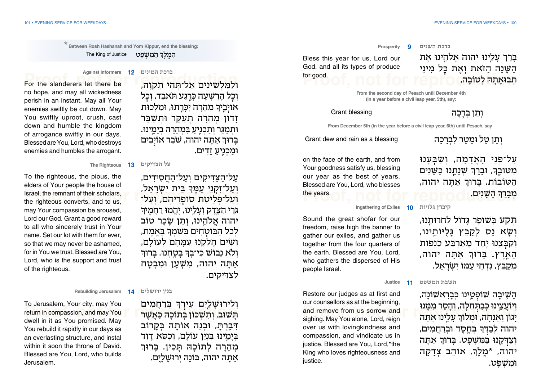$\frac{1}{2}$  Between Rosh Hashanah and Yom Kippur, end the blessing: The King of Justice המלך המשפט

**Informers Against 12**

For the slanderers let there be no hope, and may all wickedness perish in an instant. May all Your enemies swiftly be cut down. May You swiftly uproot, crush, cast down and humble the kingdom of arrogance swiftly in our days. Blessed are You, Lord, who destroys enemies and humbles the arrogant.

**Righteous The 13**

To the righteous, the pious, the elders of Your people the house of Israel, the remnant of their scholars. the righteous converts, and to us, may Your compassion be aroused, Lord our God. Grant a good reward to all who sincerely trust in Your hame. Set our lot with them for ever. so that we may never be ashamed. for in You we trust. Blessed are You. Lord, who is the support and trust of the righteous.

## **Rebuilding Jerusalem 14**

ro Jerusalem, You city, may You וועצינו כְּבַתְּחִקָה, וְהָסֵר מִמֶּנוּ<br>return in compassion, and may You<br>sighing. May You alone. Lord. rejon and reproduction for the compassion, and may You To Jerusalem, Your city, may You return in compassion, and may You dwell in it as You promised. May You rebuild it rapidly in our days as an everlasting structure, and instal within it soon the throne of David. Blessed are You. Lord, who builds .Jerusalem

# **ברכת המינים**

ולמלשינים אל־תהי תקוה, וְכַל הַרִשְׁעַה כְּרֵגַע תֹּאבֶד, וְכַל ָ ּ מְ הֵ רָ ה יִ כ ָּ רֵ ֽ תו ּ , ו ּ מַ לְ כות אוֹ יְְ בֶ ֽיך זדוֹן מהרה תִעַקֵּר וּתְשַׁבֵּר וּתמגּר ותכניע במהרה בימינו. בְרוּךְ אַתָה יהוה, שֹבֵר אוֹיְבִים וּמַכְנִיעַ זדים.

**על הצדיקים**

reproduction for their scholars, and to us, it and the reproduction for the years.<br>the years. and to us, it is and to us, it is righteous converts, and to us, it is reproduction for the years. p על־הצדיקים ועל־החסידים, ֿיָעַל־זִקְנֵי עַמְרְ בֵּית יִשְׂרָאֵל, וֹעַל־פּליטת סוֹפריהם, ועל־ ּ גֵּרִי הַצֲדָק וְעַלֵינוּ, יַהֲמוּ רַחֲמֵיךָ יהוה אלהינוּ, ותן שׂכר טוֹב לְכֹל הַבוֹטְחִים בְּשִׁמְךָ בָאֱמֶת, וְשִׂים חַלְקֵנוּ עִמֲהֶם לְעוֹלָם, וְלֹא נֵבוֹשׁ כִּי־בְךָ בָטֶחְנוּ. בָרוּך אתה יהוה, משׁען ומבטח לצדיקים.

> $\frac{1}{2}$ וְלִירוּשָׁלַיִם עִירְךָ בְּרַחֲמִים ת שוּב, ותשכון בתוכה כאשר ּד ּ ִ בַּ ֽ רְ ת ּ ָ , ו ּ בְ נֵ ה אוֹ תָ ה בְּ קָ רוֹ ב בִּיְמֵינוּ בִּנְיַן עוֹלָם, וְכָסֶא דַוִד מהרה לתוֹכה תִכין. בִּרוּךְ אתה יהוה, בוֹנה ירוּשׁלים.

**בנין ירושלים**

Your goodness satisfy us, blessing our year as the best of years. Blessed are You, Lord, who blesses the years.

Bless this year for us, Lord our God, and all its types of produce

for good.

Sound the great shofar for our freedom, raise high the banner to gather our exiles, and gather us together from the four quarters of the earth. Blessed are You, Lord, who gathers the dispersed of His people Israel.

Restore our judges as at first and our counsellors as at the beginning, and remove from us sorrow and sighing. May You alone, Lord, reign over us with lovingkindness and compassion, and vindicate us in justice. Blessed are You, Lord,\*the King who loves righteousness and justice.

## **Prosperity ברכת השנים 9**

reproduction for good. The slanderers let there be the production of the production of the production of the proof of the proof of the proof of the proof of the proof of the proof of the proof of the proof of the proof of בְּרַךְ עָלֵינוּ יהוה אֱלֹהֵינוּ אֶת השׁנה הזֹאת ואת כל מיני תִבוּאתה לטוֹבה.

> From the second day of Pesach until December 4th (in a year before a civil leap year, 5th), say:

# וֹתן בּרכה Grant blessing ותן ברכה

ּ עַ ל־פ ְ נֵ י ּ הָ אֲ דָ מָ ה, וְ שַׂ בְְּ עֵ ֽ נו  $\mu$ מְטוּבֶךְ, וּבָרַךְ שְׁנָתְנוּ כַּשָּׁנִים הַטּוֹבוֹת. בָרוּךְ אַתָּה יהוה,

ותו טל וּמטר לברכה

.<br>מְבָרֶךְ הַ<mark>שָׁנִים</mark>

## From December 5th (in the year before a civil leap year, 6th) until Pesach, say

Grant dew and rain as a blessing

on the face of the earth, and from

**קיבוץ גלויות**

ּתְקַע בְּשׁוֹפַר גַּדוֹל לְחֵרוּתנוּ, ּ וְ שָׂ א נֵ ס לְ קַ בֵּ ץ ג ּ ָ לֻ י ּ וֹ תֵ ֽ ינו, ּוְקַבְּצֵנוּ יַחַד מֵאַרְבַּע כַּנְפוֹת .<br>הָאֶרֶץ. בָּרוּךְ אַתָּה יהוה, ָ מְקַבֵּץ, נִדְחֵי עַמּוֹ יְשׂראל.

## **Justice 11 השבת המשפט**

הַ יַעֵיבַה שׁוֹפְטֵינוּ כְּבַרְאשׁוֹנַה, ּוְיוֹעֲצֵינוּ כִּבַתְּחִלַּה, וְהַסֵר מִמֵנוּ יָגוֹן וַאֲנָחָה, ומְלוֹךְ עָלֵינוּ אַתָה .<br>יהוה לְבַדְּךָ בְּחֶסֶד וּבְרַחֲמִים, וְצַדְקֵנוּ בַּמִ*שְׁפָּט. בָּרוּךְ* אַתָּה יהוה, \*מֶלֶךְ, אוֹהֵב צְדָקָה ּו ּ מִ שׁ ְ פָ ט.

Ingathering of Exiles 10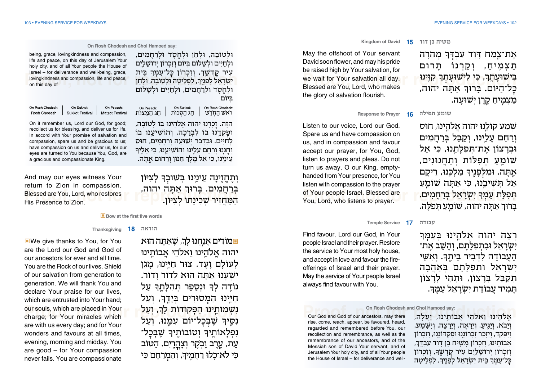on this day of

On Rosh Chodesh:

**Bosh Chodesh** 

being, grace, lovingkindness and compassion. life and peace, on this day of Jerusalem Your holy city, and of all Your people the House of  $Israel - for$  deliverance and well-being, grace lovingkindness and compassion. life and peace.

recollect us for blessing, and deliver us for life. In accord with Your promise of salvation and compassion, spare us and be gracious to us; have compassion on us and deliver us, for our eyes are turned to You because You, God, are a gracious and compassionate King.

On Sukkot:

Sukkot Festival

And may our eyes witness Your return to Zion in compassion. Blessed are You, Lord, who restores

His Presence to Zion.

**משיח בן דוד David of Kingdom 15**

פ**ישוּעְהֶך, כִּי לִישׁוּעָהְךָ קִוְּינוּ** בְּינוּ בְּיוֹ אֲיוּ יְוִיִּהוֹן בְּי עַמְן בִּינוּ בְּיוֹ הּ הּ וֹשׁמּשׁ and compassion, life and peace, בִּי**שׁוּעָהֶךָ, כִּי לִישׁוּעָהָךָ קִבְּי**כִה, וּלְחֵן and peace, produ אֶת־צֶמַח דָּוִד עַבְדְּךָ מְהֵרָה תצמיח, וקרנו תרום ַבִּישׁוּעָתֶךָ, כִּי <mark>לִישׁוּ</mark>עָתְךָ קו<mark>ּיִינוּ</mark> כְּל־הַיּוֹם. בָּרוּךְ אַתָּה יהוה, מצמיח קרן ישׁוּעה. May the offshoot of Your servant David soon flower, and may his pride be raised high by Your salvation, for we wait for Your salvation all day. Blessed are You, Lord, who makes the glory of salvation flourish.

Response to Prayer 16

שמע קוֹלנוּ יהוה אלהינוּ. חוּס ורחם עלינוּ, וקבל ברחמים וּברצוֹן את־תפלתנוּ, כּי אל ּ שׁ וֹ מֵ ֽ עַ ת ּ ְ פִ ל ּ וֹ ת וְ תַ חֲ נונִ ים, אָתָה. וּמִלְפָנֶיךָ מַלְכֵנוּ, רֵיקָם אל תשׁיבנוּ, כ*ּי* אתה שוֹמע בְרוּךְ אַתָה יהוה, שוֹמֵעַ תְּפִלָּה.

# **עבודה**

ָ רִצה יהוה אלהינוּ בִעמִר ישׂראל וּבתפלתם, והשׁב את־ ָ.<br>הָעֲבוֹדָה לִדְבִיר בֵּיתֶךָ. וְאִשֵּׁי ישׂראל וּתפלתם באהבה תקבל ברצוֹן, וּתהי לרצוֹן ֿתְמִיד עֲבוֹדַת יִשְׂרָאֵל עַמֶּךְ.

ה אַנְּנָה יְהוֹרָ, אֲנִה יְהוֹרָ, אֲנֹיִה יְהוֹרָ, יִשְׂ רָאֵל בְּרַחֲמִיּם.<br>Pou, Lord, who listens to prayer. The section of Your people Israel. Blessed are<br>The section for the section and all the conduct of the conduct Listen to our voice. Lord our God. Spare us and have compassion on us, and in compassion and favour accept our prayer, for You, God, listen to prayers and pleas. Do not handed from Your presence, for You turn us away, O our King, emptylisten with compassion to the prayer of Your people Israel. Blessed are You, Lord, who listens to prayer.

## **Service Temple 17**

Find favour, Lord our God, in Your people Israel and their prayer. Restore the service to Your most holy house, offerings of Israel and their prayer. and accept in love and favour the fire-May the service of Your people Israel always find favour with You.

# וּלטוֹבה. וּלחו וּלחסד וּלרחמים.

וּלחיּים וּלשׁלוֹם בּיוֹם וזכרוֹן ירוּשׁלים עִיר קָדְשֶׁךָ, וְזִכְרוֹן כְּל־עַמְךָ בֵית יִשְׂרָאֵל לְפָנֶיךָ, לִפְלֵיטָה וּלְטוֹבָה, וּלְחֵן וּלְחֵסֶד וּלְרַחֲמִים, וּלְחַיּים וּלֹשׁלוֹם ביוֹם

On Sukkot: On Rosh Chodesh On Pesach חג המצות חג הסכות ראש החדש

הזה. זכרנוּ יהוה אלהינוּ בּוֹ לטוֹבה, וּפַקְדֵנוּ בוֹ לִבְרְכֵה, וְהוֹשׁיעַנוּ בוֹ לְחַיִּים. וּבִדְבַר יְשׁוּעָה וְרַחֲמִים, חוּס<br>וְחָנֵּנוּ וְרַחֵם עָלֵינוּ וְהוֹשִׁיעֵנוּ, כִּי אֵלֵיךְ ּ עֵינֵינוּ, כִּי אֵל מֶלֶךְ חַנּוּן וְרַחוּם אָתָה.

וְתֶחֱזֶינָה עֵינֵינוּ בְּשׁוּבְךָ לְצִיּוֹן .<br>בְּרַחֲמִים. בָּרוּךְ אַתָה יהוה, **המחזיר שׁכינתוֹ לציּוֹן.** 

## **E** Bow at the first five words

**On Rosh Chodesh and Chol Hamoed say:** 

On Pesach:

**Matzot Festival** 

# **18 Thanksgiving הודאה**

 $\square$  We give thanks to You, for You are the Lord our God and God of our ancestors for ever and all time. You are the Rock of our lives. Shield of our salvation from generation to generation. We will thank You and declare Your praise for our lives, which are entrusted into Your hand: our souls, which are placed in Your charge; for Your miracles which are with us every day: and for Your wonders and favours at all times, evening, morning and midday. You are good – for Your compassion never fails. You are compassionate

charge; the replaced in Your **controller reproduction of the controller controller of the controller of the con**<br>Charge; for Your miracles which which and Sold part of our God and God of our ancestors, may there with the ינשט הוא המשמש המשמש המשמש המשמש המשמש המשמש המשמש המשמש המשמש המשמש המשמש המשמש המשמש המשמש המשמש המשמש המשמש ה<br>
Condour Generalism and favour condour Space and the passion on the condour our voice . The measurement on מוֹדִים אֲנַחְנוּ לָךְ, שָׁאַתָה הוא <mark>-</mark> יהוה אֱלֹהֱינוּ וֵאלֹהִי אבוֹתינוּ לְעוֹלָם וַעֲד. צוּר חַיֵּינוּ, מַגֶן ישׁענו אתה הוא לדוֹר ודוֹר. ָנוֹדֶה לְךָ וּנְסַפֵּר תְּהִלָּתֶךְ עַל ְחַיְּנוּ הַמְּסוּרִים בְּיָדֶךָ, וְעַל נִשְׁמוֹתְינו הַפְּקוּדוֹת לָךְ, וְעַל ּנִסֶיךָ שֶׁבְּכְל־יוֹם עִמֶּנוּ, וְעַל יִפְלְאוֹתֶיךָ וְטוֹבוֹתֶיך<sup>ְ </sup>שֶׁבְּכְל־ עֵת, עֵרִב וַבֹקֶר וִצַהְרִיִם. הַטּוֹב ּכִּי לֹא־כָלוּ רַחֲמֶיךָ, וְהַמְרַחֵם כִּי

## **On Rosh Chodesh and Chol Hamoed say:**

Our God and God of our ancestors, may there rise, come, reach, appear, be favoured, heard, regarded and remembered before You, our recollection and remembrance, as well as the remembrance of our ancestors, and of the Messiah son of David Your servant, and of Jerusalem Your holy city, and of all Your people the House of Israel – for deliverance and well-

ּ אֱ לֹהֵ ֽ ינו ּ וֵ אלֹהֵ י אֲ בוֹ תֵ ֽ ינו, יַ עֲ לֶ ה, וִיבֹא, וִיגִיע, ויַראַה, ויַרצַה, ויִשׁמע, ּ וְ יִ פ ּ ָ קֵ ד, וְ יִ ז ּ ָ כֵ ר זִ כְ רוֹ נֵ ֽנו ּ ו ּ פִ קְ ד ּ וֹ נֵ ֽנו, וְ זִ כְ רוֹ ן ָ, יִ יְהִי יוֹ, וְזִכְרוֹן מָעָיחַ בֶּן דְוִד עַבְדֶךָ,<br>אֲבוֹתֵינוּ, וְזִכְרוֹן מָעָיחַ בֶּן דָוִד עַבְדֶךָ, וְזִכְרוֹן יְרוּשָׁלַיִם עִיר קָדְשֶׁךָ, וְזִכְרוֹן בְל־עַמְךֹ בֵּית יִשְׂרָאֵל לְפָנֶיךָ, לִפְלֵיטָה

**שומע תפילה**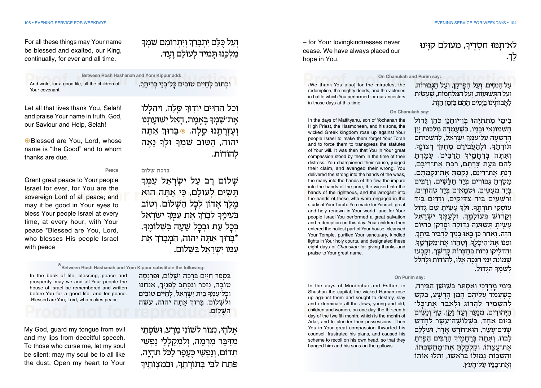For all these things may Your name be blessed and exalted, our King, continually, for ever and all time.

**Between Rosh Hashanah and Yom Kippur add:** 

ָ

And write, for a good life, all the children of Your covenant.

Let all that lives thank You, Selah! and praise Your name in truth, God, our Saviour and Help, Selah!

**•**Blessed are You, Lord, whose name is "the Good" and to whom thanks are due

**Peace**

Grant great peace to Your people Israel for ever, for You are the sovereign Lord of all peace; and may it be good in Your eyes to bless Your people Israel at every time, at every hour, with Your peace \*Blessed are You, Lord, who blesses His people Israel with peace

 $*$ <br>Between Rosh Hashanah and Yom Kippur substitute the following:

In the book of life, blessing, peace and prosperity, may we and all Your people the house of Israel be remembered and written before You for a good life, and for peace. Blessed are You, Lord, who makes peace

My God, guard my tongue from evil and my lips from deceitful speech. To those who curse me, let my soul be silent; may my soul be to all like the dust. Open my heart to Your וְעַל כֻּלָּם יִתְבָּרַךְ וְיִתְרוֹמַם שִׁמְךָ מלכּנוּ תִמיד לעוֹלם ועד.

וּכְתוֹב לְחַיִּים טוֹבִים כְּל־בְּנֵי בְרִיתֶךָ.

וְכֹל הַחַיִּים יוֹדְוּךָ סֶלָה, וִיהַלְלוּ ָאֶת־שַׁמְךָ בֶּאֱמֶת, הָאֵל יְשׁוּעָתְנוּ .<br>וְעֶזְרָתְנוּ סֶלָה. ◉ בָּרוּךְ אַתָה ֿיהוה, הַטוֹב שַׁמְרְ וּלְךָ נָאֶה להוֹדוֹת.

# **ברכת שלום**

ָ שלוֹם רב על ישׂראל עמִר תּשִׂים לְעוֹלָם, כִּי אַתָּה הוּא מֶלֶךְ אָדוֹן לְכְל הַשָּׁלוֹם. וְטוֹב ָ יִעְינֶיךָ לְבָרֵךְ אֶת עַמְּךָ יִשְׂרָאֵל בְּבָל עֵת וּבְכְל שָעָה בִּשְׁלוֹמֶךָ. ֿיבְרוּךְ אַתָּה יהוה, הַמְבָרֵךְ אֶת עמוֹ ישׂראל ב*שׁ*לוֹם.

בּסִפַר חיים בֵרכה וֹשׁלוֹם, ופרנסה ָטוֹבָה, נִזְכֵר וְנִכָּתֵב לְפָנֶיךָ, אֲנַחְנוּ וְכָל־עַמְךֹ בֵית יִשְׂרָאֵל, לְחַיִּים טוֹבִים וּלְשָׁלוֹם. בָּרוּךְ אֲתָה יהוה, עֹשֵׂה

אַלֹהי, נצוֹר לֹשׁוֹני מרע, וּשׂפתי מְדַּבֵּר מִרְמָה, וִלְמְקַלְלֵי נַפ*ִּיט*ִי תִדוֹם, וְנַפְשִׁי כֵּעַפַר לַכֹּל תִהְיֶה. פְּתַח לִבִּי בְּתוֹרָתֶךָ, וּבְמִצְוֹתֶיךָ

ּהַ ש ׁ ָ לוֹ ם.

– for Your lovingkindnesses never cease. We have always placed our hope in You.

on Chanukah and Purim say:<br>מעל הַפִּרְקָן, וְעַל הַפַּרְקָן, וְעַל הַפַּרְקָן, וְעַל הַפַּרְקָן, וְעַל הַפַּרְקָן, וְעַל הַפַּרְקָן, וְעֵל הַב {We thank You also] for the miracles, the redemption, the mighty deeds, and the victories in battle which You performed for our ancestors in those days at this time.

לא־תַמּוּ חֲסָדֶיךָ, מֵעוֹלָם קִוְינוּ לְךָ.

**On Chanukah and Purim say:** 

על הנסים. ועל הפרקו, ועל הגבורות. ועל התשוּעוֹת, ועל המלחמות, שעשית לאבוֹתֵינוּ בִּיּמִים ההם בזמן הזָה.

ּ בִּימֵי מַתְּתְיַהוּ בֵּן־יוֹחַנַן כֹהֵן גַדוֹל חשׁמוֹנאי וּבניו, כּשׁעמדה מלכוּת יון הַרְשָׁעָה עַל־עַמְרְ יִשְׂרָאֵל, לְהַשְׁכִּיחָם ָ<br>תּוֹרָתֶךָ, וּלְהַעֲבִירָם מֵחֻקֵי רְצוֹנֶךָ. וְאַתָּה בְּרַחֲמֶיךָ הָרַבִּים, עָמָדְתָ להם בִּעָת צרתם, רבִתּ אַת־רִיבִם, דּנת את־דינם, נקמת את־נקמתם. מסרתּ גִבּוֹרים בּיד חלשים, ורבּים ּ בְּ יַ ד מְ עַ טִּ ים, וטְ מֵ אִ ים בְּ יַ ד טְ הוֹ רִ ים, וּרשׁעים ביד צדיקים, וזדים ביד עוֹסְקֵי תוֹרָתֶךָ. וּלְךָ עָשֶׂיתָ שֵׁם גָדוֹל וְקָדוֹשׁ בְּעוֹלָמֶךְ, וּלְעַמְךָ יִשְׂרָאֵל עשית תּשׁוּעה גדולה וּפִרקן כּהיּוֹם ְהָזֶה. וְאַחַר כֵּן בֵּאוּ בָנֶיךָ לִדְבִיר בֵּיתֶךְ, ּוּפִנּוּ אֶת־הֵיכָלֶךְ, וְטָהֲרוּ אֶת־מִקְדָּשֶׁךָ, וְהִדְלִיקוּ נֵרוֹת בְּחַצְרוֹת קָדְשֶׁךָ, וְקָבְעוּ

ָ בִּימִי מרדכי ואסתר ב*ִּשׁוּשׁ*ן הבירה, כּשׁעמד עליהם המן הרשע, בקש לְהַשָּׁמִיד לַהֲרוֹג וּלְאַבֶּד אֶת־כַּל־ היהודים, מנּער ועד זקן, טף ונשים בִּיוֹם אחד, בַּשׁלוֹשׁה־עַשׂר לחדש שנים־עשׂר, הוא־חֹדשׁ אדר, ושללם לְבוֹז. וְאַתָה בְּרַחֲמֶיךָ הָרַבִּים הַפְרְתָ ּ אֶת־עֲצָתוֹ, וְקָלְקָלְתְּ אֶת־מַחֲשָׁבְתּוֹ, ּ וַ הֲ שׁ ֵ בֽ וֹ תָ ג ּ ְ מו ּ לוֹ בְּ רֹאשׁ וֹ , וְ תָ לו אוֹ תוֹ

לְשַׁמְרָ הַגָּדוֹל.

וְ אֲת־בֵּנִיו עַל־הַעֲץ.

## **On Chanukah say:**

בְּיַד מְעַטִּים, וּטְמֵאִים בְּיַד טְהורִים, ו-hands of the righteous, and the arrogant into<br>| וּרְשָׁעִים בְּיַד צַדִּיקִים, וְזֵדִים בְּיַד אַדִּיקִים, וְזֵדִים בְּיַד צַדִּיקִים, וְזֵדִים בְּיַד צַדִּיקִים, וְזֵדִים ב In the days of Mattityahu, son of Yochanan the High Priest, the Hasmonean, and his sons, the wicked Greek kingdom rose up against Your people Israel to make them forget Your Torah and to force them to transgress the statutes of Your will. It was then that You in Your great compassion stood by them in the time of their distress. You championed their cause, judged their claim, and avenged their wrong. You delivered the strong into the hands of the weak. the many into the hands of the few, the impure into the hands of the pure, the wicked into the hands of the righteous, and the arrogant into the hands of those who were engaged in the study of Your Torah. You made for Yourself great and holy renown in Your world, and for Your people Israel You performed a great salvation and redemption on this day. Your children then entered the holiest part of Your house, cleansed Your Temple, purified Your sanctuary, kindled lights in Your holy courts, and designated these eight days of *Chanukah* for giving thanks and praise to Your great name.

שמוֹנת ימי חנכה אֵלוּ, להודוֹת וּלהלל

reproduction for the production of the twelfth month, which is the month of the thirteenth of the twelfth month, which is the month of the twelfth month, which is the month of the twelfth month, which is the month of the In the days of Mordechai and Esther, in Shushan the capital, the wicked Haman rose up against them and sought to destroy, slay and exterminate all the Jews, young and old, children and women, on one day, the thirteenth day of the twelfth month, which is the month of Adar, and to plunder their possessions. Then You in Your great compassion thwarted his counsel, frustrated his plans, and caused his scheme to recoil on his own head, so that they hanged him and his sons on the gallows.

**On Purim say:**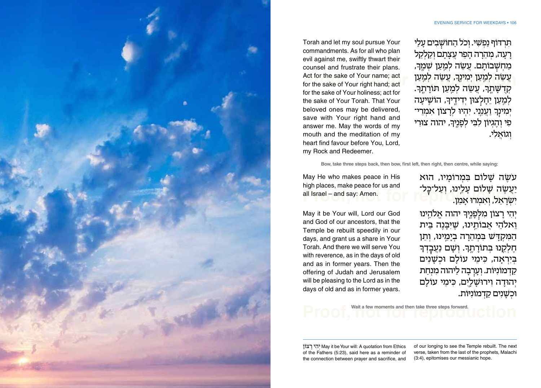

Torah and let my soul pursue Your commandments. As for all who plan evil against me, swiftly thwart their counsel and frustrate their plans. Act for the sake of Your name: act for the sake of Your right hand; act for the sake of Your holiness: act for the sake of Your Torah. That Your beloved ones may be delivered. save with Your right hand and answer me. May the words of mv mouth and the meditation of my heart find favour before You, Lord, my Rock and Redeemer.

ת רדוֹף נפ*ּשׁי.* וכל החוֹשבים עלי רַעֲה, מִהֲרָה הַפֶּר עֲצַתַם וִקַלְקֶל מַחְשְׁבוֹתָם. עֲשֵׂה לְמַעַן שְׁמֶךָ, ָ קְדֻשָּׁתֶךָ, *עֲ*שֵׂה לְמַעַן תּוֹרָתֶךָ. ָ ָ לְמַעַן יֵחָלְצוּן יְדִידֶיךָ, הוֹשְיעָה ָ יְמִינְךָ וַעֲנֵיִי. יִהְיוּ לְרָצוֹן אִמְרֵי־ ָ פִי וְהֶגְיוֹן לִבִּי לְפָנֶיךָ, יהוה צוּרִי ָ וגוֹאלי.

Bow, take three steps back, then bow, first left, then right, then centre, while saying:

May He who makes peace in His high places, make peace for us and all Israel - and say: Amen.

May it be Your will, Lord our God and God of our ancestors, that the Temple be rebuilt speedily in our days, and grant us a share in Your Torah, And there we will serve You with reverence, as in the days of old and as in former years. Then the offering of Judah and Jerusalem will be pleasing to the Lord as in the days of old and as in former years.

עֹשׂה שׁלוֹם בַּמִרוֹמִיו, הוּא יַעֲשֶׂה שָׁלוֹם עַלֵינוּ, וְעַל־כַּל־ ישׂראל, ואמרו אמן.

יְהִי רָצוֹן מִלְפָנֶיךָ יהוה אֱלֹהֵינוּ ָ **וֵאלֹהֵי אֲבוֹתֵינוּ, שֵׁיִּבְּנֶה בֵּית** ָהַמְקְדַּשׁ בְּמְהֶרָה בְיָמֵינוּ, וְתֵן הַלְקֵנוּ בְּתוֹרָתֶךָ. וְשָׁם נַעֲבְדְךָ ָ בִּירְאָה, כִּימֵי עוֹלַם וּכְשָׁנִים קדמוֹניּוֹת. וערבה ליהוה מנחת יְהוּדַה וִירוּשׁלֵיִם, כִּימֵי עוֹלָם ּוֹכְשָׁנִים קַדְמוֹנִיּוֹת.

Wait a few moments and then take three steps forward.

יהי רצוֹן May it be Your will: A quotation from Ethics of the Fathers (5:23), said here as a reminder of the connection between prayer and sacrifice, and of our longing to see the Temple rebuilt. The next verse, taken from the last of the prophets, Malachi (3:4), epitomises our messianic hope.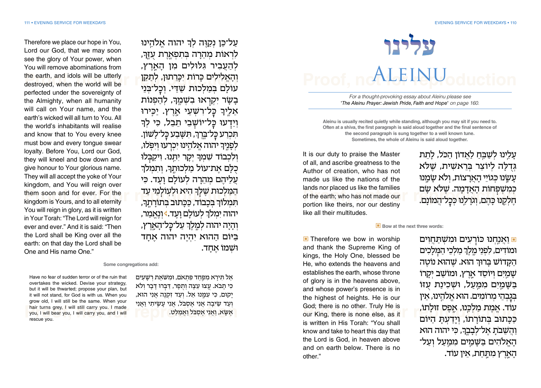Therefore we place our hope in You, Lord our God, that we may soon see the glory of Your power, when You will remove abominations from the earth, and idols will be utterly destroyed, when the world will be perfected under the sovereignty of the Almighty, when all humanity will call on Your name, and the earth's wicked will all turn to You. All the world's inhabitants will realise and know that to You every knee must bow and every tongue swear loyalty. Before You, Lord our God, they will kneel and bow down and give honour to Your glorious name. They will all accept the yoke of Your kingdom, and You will reign over them soon and for ever. For the kingdom is Yours, and to all eternity You will reign in glory, as it is written in Your Torah: "The Lord will reign for ever and ever." And it is said: "Then the Lord shall be King over all the earth: on that day the Lord shall be One and His name One."

עַל־כֵּן נְקַוֶּה לְךָ יהוה אֱלֹהֵינוּ לִרְאוֹת מְהֵרָה בְּתִפְאֶרֶת עֻזֶךָ, להעביר גּלוּלים מן הארץ, והאלילים כרוֹת יכרתוּו, לתקו עוֹלם במלכוּת שׁדי. וְכַל־בְּנֵי ָבְשָׂר יִקְרְאוּ בִשְׁמֶךָ, לְהַפְנוֹת ָאֵלֶיךָ כְּלֹיִרִשְׁעֵי אֶרֶץ. יַכְּירוּ<br>וידעו כל־יושבי תבל, כּי לך וידעוּ כּל־יוֹשׁבי תבל, כ*ּי* לִרִ .<br>תִכְרַע כְל־בֶּרֶךְ, תִּשָּׁבַע כְּל־לָשׁוֹן. לְפָנֶיךָ יהוה אֱלֹהֵינוּ יִכְרְעוּ וְיִפְלוּ, ולכבוד שמר יקר יתנו. ויקבלו וְלִכְבוֹד שִׁמְךָ יְקָר יִתְנוּ. וִיקַבְּלוּ<br>כֻלָּם אֶת־עוֹל מַלְכוּתֶךָ, וְתִמְלֹךְ עליהם מהרה לעוֹלם ועד. כִּי הַמַּלְכוּת שֶׁלְךָ הִיא וּלְעְוֹלְמֵי עַד תִ<mark>מְלוֹךְ בְּכָבוֹד, כַּכָּתוּב בְתוֹרָתֶך</mark>, יהוה יִמְלֹךְ לְעוֹלָם וָעֶד.) וְנֶאֱמַר, וְהָיָה יהוה לְמֶלֶךְ עַל־כְּל־הָאֶרֶץ, בִּיּוֹם ההוּא יהיה יהוה אחד ּוּשׁמוֹ אחד.

Some congregations add:

Have no fear of sudden terror or of the ruin that overtakes the wicked. Devise your strategy. but it will be thwarted; propose your plan, but it will not stand, for God is with us. When you grow old, I will still be the same. When your hair turns grey, I will still carry you. I made you, I will bear you, I will carry you, and I will rescue you.

אל תירא מפחד פתאם, ומשאת רשעים ּכ ּ ִ י תָ בֹא. עֻֽ צו ּ עֵ צָ ה וְ תֻ פָ ר, ד ּ ַ בְְּ רו דָ בָ ר וְ לֹא ַיִּקוּם, כִּי עָמֲנוּ אֵל. וְעַד זִקְנַה אֲנִי הוּא, וּ עַ ד שִׂיבה אַנִי אַסְבֹּל, אַנִי עַשִׂיתִי וַאֲנִי ֿ אֲשָׂא, וַאֲנִי אַסְבּל וֹאמלט.



# **reproduction for not ,Proof reproduction for not ,Proof** Aleinu

For a thought-provoking essay about Aleinu please see *1The Aleinu Praver: Jewish Pride. Faith and Hope' on page 160.* 

Aleinu is usually recited quietly while standing, although you may sit if you need to. Often at a shiva, the first paragraph is said aloud together and the final sentence of the second paragraph is sung together to a well known tune. Sometimes, the whole of Aleinu is said aloud together.

קגישי וודר האָר עוד, שלא שם ands nor placed us ince ine incernations<br>חלקנו כַּהֵם, וֹגֹרַלֵנוּ כִּכַל־הָמוֹנָם.<br>הַחֹלְקֵנוּ כַּהֵם, וְגֹרַלֵנוּ כִּכַל־הָמוֹנָם. ingdom is Yours, and to all eternity It is our duty to praise the Master of all, and ascribe greatness to the Author of creation, who has not made us like the nations of the lands nor placed us like the families of the earth: who has not made our portion like theirs, nor our destiny like all their multitudes

עַלֵינוּ לִשַׁבֵּח לאדוֹן הכֹל, לתת **גִּדְלַה לְיוֹצֵר בִּרְאשׁית, ש**ׁלֹא עשׂנוּ כּגוֹיי הארצוֹת, ולֹא שֹׂמנוּ כּמשׁפּחוֹת האדמה. שלא שם חלקנו כַּהֵם, וְגֹרַלֵנוּ כִּכְל־הֲמוֹנָם.

## **E** Bow at the next three words:

reproduction of the is no other. Truly He is **productly and the experiment of the production of the is** and twill<br>Mou, I will bear you, I will carry you, and I will<br>בכחור רחורחו. וידעה היוח  $\blacksquare$  Therefore we bow in worship and thank the Supreme King of kings, the Holy One, blessed be He. who extends the heavens and establishes the earth, whose throne of glory is in the heavens above, and whose power's presence is in the highest of heights. He is our God; there is no other. Truly He is our King, there is none else, as it is written in His Torah: "You shall know and take to heart this day that the Lord is God, in heaven above and on earth below. There is no ".other

 $\blacksquare$  וֹאנחנוּ כּוֹרעים וּמשׁתּחוים ומוֹדִים, לִפְנֵי מֶלֶךְ מַלְכֵי הַמְּלָכִים הַקָּדוֹשׁ בָּרוּךְ הוּא. שֶהוּא נוֹטֶה שׁמים ויוֹסד ארץ, וּמוֹשֵׁב יקרוֹ  $\dot{w}$ ב*ּשׁמים ממעל, וּשׁכינת ע*זוֹ בִּגְבְהִי מִרוֹמִים. הוּא אַלֹהינוּ, אַין עוֹד. אַמַת מַלְכֶּנוּ, אַפַּס זוּלִתוֹ, כַּכָּתוּב בִּתוֹרַתוֹ, וְיַדַעָת היּוֹם וַהֲשֵׁבֹתָ אֶל־לְבָבֶךָ, כִּי יהוה הוא הָאֱלֹהִים בַּשַׁמַים ממעל ועל־ ָ הָאֲרֶץ מְתַחַת, אֵין עוֹד.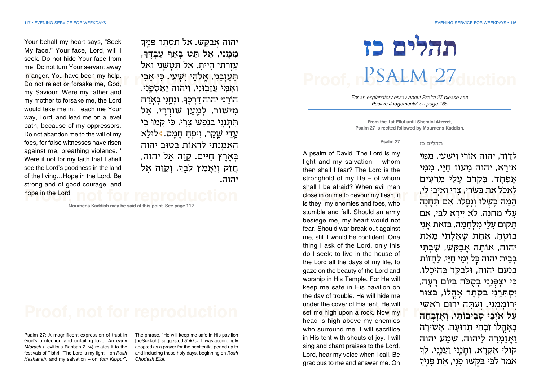Your behalf my heart says, "Seek My face." Your face, Lord, will I seek. Do not hide Your face from me. Do not turn Your servant away in anger. You have been my help. Do not reject or forsake me, God, my Saviour. Were my father and my mother to forsake me, the Lord would take me in. Teach me Your way, Lord, and lead me on a level path, because of my oppressors. Do not abandon me to the will of my foes, for false witnesses have risen against me, breathing violence. Were it not for my faith that I shall see the Lord's goodness in the land of the living...Hope in the Lord. Be strong and of good courage, and hope in the Lord

ָ יהוה אבקש. אל תסתר פניך מִמֶּנִי, אַל תַּט בְּאַף עַבְדֶךָ, עֲזִרתִי היִית, אַל תִּטְּשָׁנִי וְאַל תּעזבני, אלהי ישעי. כי אבי ואמי עזבוּני, ויהוה יאספני. .<br>הוֹרֶנִי יהוה דַרְכֶּךָ, וּנְחֶנִי בְּא<u>ִ</u>רַח מִישׁוֹר, לִמַעַן שׁוֹרְרִי. אַל ת תנני בנפש צרי, כי קמו בי עֲדֵי שֵׁקֵר, וִיפֵח חַמַס.∢לוּלָא האמנתי לראוֹת בּטוּב יהוה בִּארץ חיּים. קוּה אל יהוה, חֲזַק וְיַאֲמֵץ לִבֶּךָ, וְקַוֵּה אֶל יהוה.

**Mourner's Kaddish may be said at this point. See page 112** 

Psalm 27: A magnificent expression of trust in God's protection and unfailing love. An early Midrash (Leviticus Rabbah 21:4) relates it to the *festivals of Tishri: "The Lord is my light - on Rosh* Hashanah, and my salvation – on Yom Kippur".

The phrase, "He will keep me safe in His pavilion [beSukkoh]" suggested Sukkot. It was accordingly adopted as a prayer for the penitential period up to and including these holy days, beginning on Rosh .*Ellul Chodesh*



For an explanatory essay about Psalm 27 please see *'Positve Judgements' on page 165.* 

**From the 1st Ellul until Shemini Atzeret**. **Psalm 27 is recited followed by Mourner's Kaddish.** 

**27 Psalm**

## **תהלים כז**

**reproduction for not ,Proof reproduction for not ,Proof** A psalm of David. The Lord is my light and my salvation  $-$  whom then shall I fear? The Lord is the stronghold of my life  $-$  of whom shall I be afraid? When evil men close in on me to devour my flesh, it is they, my enemies and foes, who stumble and fall. Should an army besiege me, my heart would not fear. Should war break out against me, still I would be confident. One thing I ask of the Lord, only this do I seek: to live in the house of the Lord all the days of my life, to gaze on the beauty of the Lord and worship in His Temple. For He will keep me safe in His pavilion on the day of trouble. He will hide me under the cover of His tent. He will set me high upon a rock. Now my head is high above my enemies who surround me. I will sacrifice in His tent with shouts of joy. I will sing and chant praises to the Lord. Lord, hear my voice when I call. Be gracious to me and answer me. On

לדוד. יהוה אוֹרי וישׁעי. מִמִי אירא, יהוה מעוֹז חיי, ממי אֶפְחָד. בִּקְרֹב עַלֵי מְרָעָים לאכל את בּשׂרי, צרי ואיבי לי, המה כשלו ונפלו. אם תחנה עלי מחנה, לֹא יירא לבי, אם תּקוּם עלי מלחמה, בּזֹאת אני בוֹטח. אחת שׁאלתי מאת יהוה, אוֹתה א*בקש, שב*תי בִּבִית יהוה כֵּל יְמֵי חַיַּי, לַחֲזוֹת בּנֹעַם יהוה, וּלִבקר בַּהיכלוֹ. כִּי יִצְפְּנֵנִי בִסְכֹּה בִּיוֹם רַעֲה, יסתִרני בִּסתר אַהלוֹ, בַּצוּר ירוֹמ*מני.* ועתה ירום רֹאשׁי על איִבי סביבוֹתי, ואזבחה בְאָהֲלוֹ זִבְחֵי תְרוּעָה, אָשָׁירַה וַאֲזַמְּרָה לַיהוה. שְׁמַע יהוה<br>קוֹלי אקרא, וחנּני וענני. לרִ ַקוֹלִי אֶקְרָא, וְחָנֵנִי וַעֲנֵנִי. לְךָ<br>אמר לבי בקשו פני, את פּניר אַמַר לִבִּי בַּקָּשׁוּ פַנַי, אֶת פַּנֵיךִ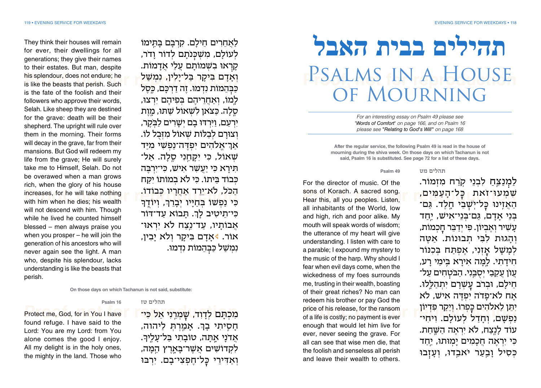reproduction for estates. But man, despite<br>
pis splendour, does not endure; he<br>
is like the beasts that perish. Such<br>  $\blacksquare$  cereriq reproduction for a integral such They think their houses will remain for ever, their dwellings for all generations; they give their names to their estates. But man, despite his splendour, does not endure; he is like the beasts that perish. Such is the fate of the foolish and their followers who approve their words. Selah. Like sheep they are destined for the grave: death will be their shepherd. The upright will rule over them in the morning. Their forms will decay in the grave, far from their mansions. But God will redeem my life from the grave; He will surely take me to Himself, Selah. Do not be overawed when a man grows rich, when the glory of his house increases, for he will take nothing with him when he dies; his wealth will not descend with him. Though while he lived he counted himself  $b$ lessed – men always praise you when you prosper – he will join the generation of his ancestors who will never again see the light. A man who, despite his splendour, lacks understanding is like the beasts that perish.

לְאַחֲרִים חֵילָם. קִרְבָּם בַּתֵּימוֹ לְעוֹלָם, מִשָּׁכִּנֹתַם לְדוֹר ודֹר, ּ קָ רְְ או בִ שׁ ְ מוֹ תָ ם עֲ לֵ י אֲ דָ מוֹ ת. ואדם ביקר בל־ילין, נמשל כִּבְּהֵמוֹת נִדְמוּ. זָה דִרְכַּם, כֶּסֶל למוֹ, ואחֲרִיהֶם בִּפִיהֶם יִרְצוּ, כִּי נַפְשׁוֹ בְּחַיִּיו יְבָרֵך, וְיוֹדֶךָ נמשל כּבּהמוֹת נדמוּ.

On those days on which Tachanun is not said, substitute:

Psalm<sub>16</sub>

Protect me, God, for in You I have found refuge. I have said to the Lord: You are my Lord: from You alone comes the good I enjoy. All my delight is in the holy ones, the mighty in the land. Those who

**תהלים טז**

ּ סלה. כּצֹאן לשֹאוֹל שֹתּוּ, מוֹת ירעם, ויּרדוּ בם ישרים לבקר, וצוּרם לבלוֹת שׁאוֹל מזבל לוֹ. .<br>אַך־אֱלֹהים יִפְדֶה־נַפְשִׁי מִיַּד ֿ שׁאוֹל, כִּי יִקַחֲנִי סֵלָה. אַל־ ת ירא כי יעשר איש, כי־ירבה כּבוֹד בּיתוֹ. כּי לֹא במוֹתוֹ יקָח הכל, לא־ירד אחריו כּבוֹדוֹ. כִּי־תֵיטִיב לָךָ. תָּבוֹא עַד־דוֹר ּ אֲ בוֹ תָ יו, עַ ד־נֵ ֽצַ ח לֹא יִ רְ או־ אוֹר. 4אַדם בִּיקָר וְלֹא יַבִין,

מכתם לדוד, שמרני אל כִּי־ הָסִיתי בָרָ. אָמְרְתְ לַיהוה, אֲדֹנָי אֶתָה, טוֹבָתִי בַּל־עָלֶיךָ. לִקְדוֹשִׁים אַשָר־בַּאַרץ הִמֵה, ּ וְאַדִּירֵי כָּל־חֶפְצִי־בָם. יִרְבּוּ

After the regular service, the following Psalm 49 is read in the house of mourning during the shiva week. On those days on which Tachanun is not said, Psalm 16 is substituted. See page 72 for a list of these days. OF MOURNING For an interesting essay on Psalm 49 please see *'Words of Comfort' on page 166, and on Psalm 16 168 page on" Will s'God to Relating "see please*

> **תהלים מט 49 Psalm**

**תהילים בבית האבל**

שִׁמְעוּ־זֹאת כְּל־הָעַמִּים, sons of Korach. A sacred song.<br>Hear this, all you peoples. Listen, האזיוו החדר החדר המשלו Hear this, all you peoples. Listen, האזיוו החדר החדר<br>האזיוו הלד החדר החדר החדר החדר החדר החדר החדר הא יִתֵּן לֵאלֹהִים כְּפְרוֹ. וְיֵקַר פִּדְיוֹן inter of his release, for the ransom<br>נפשם. נחדל לעולם, ויחי־ of a life is costly; no payment is ever For the director of music. Of the sons of Korach. A sacred song. Hear this, all you peoples. Listen, all inhabitants of the World, low and high, rich and poor alike. My mouth will speak words of wisdom; the utterance of my heart will give understanding. I listen with care to a parable; I expound my mystery to the music of the harp. Why should I fear when evil days come, when the wickedness of my foes surrounds me, trusting in their wealth, boasting of their great riches? No man can redeem his brother or pay God the price of his release, for the ransom of a life is costly; no payment is ever enough that would let him live for ever, never seeing the grave. For all can see that wise men die, that the foolish and senseless all perish and leave their wealth to others.

ּ שׁ ִ מְ עו ּ ־זֹאת כ ָָּ ל־הָ עַ מִ ים,

האזינוּ כַּל־יֹשַׁבֵי חַלֶד. גַם־ ּ בְּנֵי אַדַם, גַּם־בְּנֵי־אִישׁ, יַחַד ּ עָ שׁ ִ יר וְ אֶ בְ יוֹ ן. פ ִ י יְ דַ בֵּ ר חָָ כְ מוֹ ת, וְהַגוּת לִבְּי תְבוּנוֹת. אַטֶּה למשל אזני, אפתח בכנו*ֹר* ּ חִ ידָ תִ י. לָ ֽמָ ה אִ ירָ א בִּֽ ימֵ י רָ ע, ְעֲוֹן עֲקֶבַי יִסְבֵּנִי. הַבֹּטָחִים עַל־ ּ חֵ ילָ ם, ו ּ בְ רֹב עָָ שׁ ְ רָ ם יִ תְ הַ ל ּ ָ ֽלו. ּ אָ ח לֹא־פָ דֹה יִ פְ ד ֶ ה אִ ישׁ , לֹא יִתן לאלהים כפרו. ויקר פּדיוֹן נַפְשָׁם, וְחָדַל לְעוֹלָם. וִיחִי־ עוֹד לנצח, לֹא יראה השחת. כִּי יִרְאֶה חַכָּמִים יַמִוּתוּ, יַחִד ּכְּסִיל וַבַּעֲר יֹאבֵדוּ, וְעַזְבוּ

למנצח לבִנֵי קֹרַח מִזְמוֹר.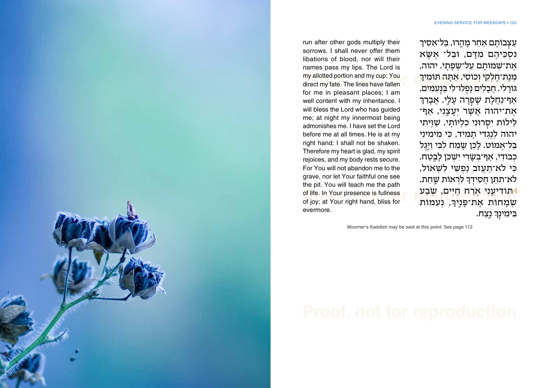reproduction of life. In Your presence is fullness of the series of the series of life. In Your presence is full<br>שמחות את־פניר, נעמות of joy; at Your right hand, bliss for מְנָת־חֶלְקִי וְכוֹסִי, אַתָּה תּוֹמִיךְ allotted portion and my cup: You<br>direct my fate. The lines have fallen<br>נוֹרלי חרלים יפלנ־לי כנזימים run after other gods multiply their sorrows I shall never offer them libations of blood, nor will their names pass my lips. The Lord is my allotted portion and my cup: You direct my fate. The lines have fallen for me in pleasant places; I am well content with my inheritance. I will bless the Lord who has quided me; at night my innermost being admonishes me. I have set the Lord before me at all times. He is at my right hand: I shall not be shaken. Therefore my heart is glad, my spirit rejoices, and my body rests secure. For You will not abandon me to the grave, nor let Your faithful one see the pit. You will teach me the path of life. In Your presence is fullness of joy; at Your right hand, bliss for .evermore

ְ עצבוֹתם אחר מהרוּ, בל־אסיך ּ נִסְכֵּיהֶם מִדָּם, וּבַל־ אֶשָׂא<br>את־שמותם על־שפתי. יהוה, אֶת־שְׁמוֹתָם עַל־שְׂפָתָי. יהוה,<br>מְנָת־חֶלְקִי וְכוֹסִי, אַתָּה תּוֹמִיךְ ּ וֹרָלִי. חֲבָלִים נָפְלוּ־לִי בַּנְּעִמִים, ֧֧֢֖֖֖֖֖֖֧֚֚֚֚֚֚֚֚֚֚֚֝<u>֚</u> אַף־נַחֲלָת שָׁפְרָה עָלֵי. אֲבָרֵך אָת־יהוה אֵשֶׁר יְעַצֲנִי, אַף־ לֵילוֹת יִסְרוּנִי כְלְיוֹתֵי. שַׁוְיִתִי יהוה לנגדי תמיד, כי מימיני ּ בַּל־אֲמוֹט. לַכֵן שַׂמַח לִבִּי וַיַּגֵל ּ כִּבוֹדִי, אַף־בְּשָׂרִי יִשְׁכֹּן לַבֵטַח. כי לא־תַעַזֹב נַפְשׁ<sup>,</sup> לְשָׁאוֹל, לֹא־תִתֵּן חֲסִידְךָ לִרְאוֹת שֶׁחַת. ָ ּ תּוֹדִיעֶנִי אָרַח חַיִּים, שְׂבַע שְׂמָחוֹת אֶת־פָּנֶיךָ, נְעָמוֹת ָ בִּימִינְךָ נֶצַח. ָ

Mourner's Kaddish may be said at this point. See page 112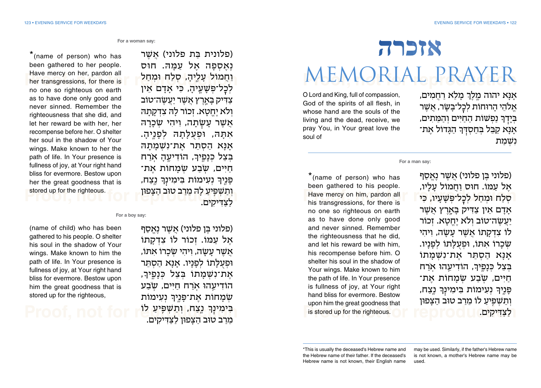77378

# reproduction for people.<br>PRAYER **PRAYER** بالمسلم بالمسلم بير المسلم بين المسلم بين AL PRAYER her transgressions, for there is

O Lord and King, full of compassion, God of the spirits of all flesh, in whose hand are the souls of the living and the dead, receive, we pray You, in Your great love the soul of

אָנָא יהוה מֶלֶךְ מָלֵא רַחֲמִים, אלהי הרוחוֹת לכל־בַּשׂר, אַשַׁר .<br>בְּיָדְךָ נַפְשׁוֹת הַחַיּים וְהַמֵּתִים, .<br>אָנָא קַבֵּל בְּחַסְדְּךָ הַגָּדוֹל אֶת־ נשמת

(פלוני בֵּן פלוני) אַשָׁר נַאֲסַף ּ אֶ ל עַ מ ּ וֹ . חוס וַ חֲ מוֹ ל עָ לָ יו, סלח וּמחל לכל־פּשׁעיו, כּי אַדָם אֵין צַדִּיק בָּאָרֵץ אַשֵּׁר יעשׂה־טוֹב ולֹא יחטא. זכוֹר לוֹ צִדְקַתוֹ אֲשֶׁר עָשָׂה, וִיהִי ּ שְׂכָרוֹ אִתוֹ, וּפְעָלָתוֹ לְפַנִיו. אַנא הסתר את־נשׁמתוֹ בְצֵל כְּנָפֶיךָ, הוֹדִיעָהוּ א<u>ִר</u>ח חיים, שֹׂבַע שַׂמַחוֹת את־ פָּנֶיךָ נְעִימוֹת בִּימִינְךָ נֶצַח, וְתַשִׁפִּיעַ לוֹ מֵרַב טוּב הַצָפוּן

For a man say:

יגי עביו ביו הס ויוברו לא היה המוסים והוא המוסים והוא המוסים והוא המוסים והוא המוסים והוא המוסים stored up for the righteous.<br>"קלח ומחל לכל־פְּשָׁעָיו, כִּי "Have mercy on him, pardon all  $*(name of person)$  who has is stored up for the righteous.

פלונית בת פלוני) אשר) נאספה אל עמה. חוּס וחמוֹל עליה, סלח ומחל לְכַל־פַּשַׁעֲיה, כִּי אַדם אַין ּצַ ד ִ יק בָּ אָ ֽ רֶ ץ אֲ שׁ ֶ ר יַ עֲ שֶׂ ה־טוֹ ב וּלֹא יִחטא. זכוֹר לה צדקתה ּ אֲ שׁ ֶ ר עָ שְְׂ תָ ה, וִ יהִ י שְׂ כָ רָ ה ּאִ ת ּ ָ ה ּ , ו ּ פְ עֻ ל ּ ָ תָ ה לְ פָ נֶ ֽיהָ . אנא הסתר את־נש*ׁ*מתה בְצֵל כְּנָפֶיךָ, הוֹדִיעֶהָ א<u>ִי</u>רח חיּים, שֹׂבַע שַׂמַחוֹת את־ פֶּנֶיךָ נְעִימוֹת בִּימִינְךָ נֶצַח, ותשפיע לה מרב טוב הצפון לצדיקים.

(פלוני בֵּן פלוני) אַשׁר נאַסף אל עמוֹ. זכוֹר לוֹ צדקתוֹ ּ אֲ שׁ ֶ ר עָ שָׂ ה, וִ יהִ י שְׂ כָ רוֹ אִ תוֹ , וּפְעָלָתוֹ לְפַנַיו. אַנַּא הַסְתֵּר אֶת־נִשְׁמָתוֹ בְּצֵל כְּנָפֶיךָ, הוֹדִיעֵהוּ א*ַרַח חַיִּים, ש*ָׂבַע ּ שְׂמָחוֹת אֶת־פָּנֶיךָ נְעִימוֹת בִּימִינְךָ נֶצַח, וְתַשְׁפִּיעַ לוֹ מרב טוּב הצפוּו לצדיקים.

 $*$ (name of person) who has been gathered to her people. Have mercy on her, pardon all her transgressions, for there is no one so righteous on earth as to have done only good and never sinned. Remember the righteousness that she did, and let her reward be with her, her recompense before her. O shelter her soul in the shadow of Your wings. Make known to her the path of life. In Your presence is fullness of joy, at Your right hand bliss for evermore. Bestow upon her the great goodness that is stored up for the righteous.

## For a boy say:

For a woman say:

(name of child) who has been gathered to his people. O shelter his soul in the shadow of Your wings. Make known to him the path of life. In Your presence is fullness of joy, at Your right hand bliss for evermore. Bestow upon him the great goodness that is stored up for the righteous,

\*This is usually the deceased's Hebrew name and the Hebrew name of their father. If the deceased's Hebrew name is not known, their English name

been gathered to his people. Have mercy on him, pardon all his transgressions, for there is no one so righteous on earth as to have done only good and never sinned. Remember the righteousness that he did, and let his reward be with him, his recompense before him. O shelter his soul in the shadow of Your wings. Make known to him the path of life. In Your presence is fullness of joy, at Your right hand bliss for evermore. Bestow upon him the great goodness that

> may be used. Similarly, if the father's Hebrew name is not known, a mother's Hebrew name may be used.

לצדיקים.